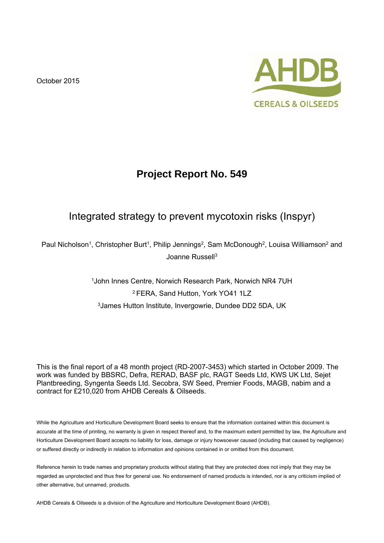October 2015



# **Project Report No. 549**

# Integrated strategy to prevent mycotoxin risks (Inspyr)

Paul Nicholson<sup>1</sup>, Christopher Burt<sup>1</sup>, Philip Jennings<sup>2</sup>, Sam McDonough<sup>2</sup>, Louisa Williamson<sup>2</sup> and Joanne Russell<sup>3</sup>

> 1John Innes Centre, Norwich Research Park, Norwich NR4 7UH 2 FERA, Sand Hutton, York YO41 1LZ 3James Hutton Institute, Invergowrie, Dundee DD2 5DA, UK

This is the final report of a 48 month project (RD-2007-3453) which started in October 2009. The work was funded by BBSRC, Defra, RERAD, BASF plc, RAGT Seeds Ltd, KWS UK Ltd, Sejet Plantbreeding, Syngenta Seeds Ltd. Secobra, SW Seed, Premier Foods, MAGB, nabim and a contract for £210,020 from AHDB Cereals & Oilseeds.

While the Agriculture and Horticulture Development Board seeks to ensure that the information contained within this document is accurate at the time of printing, no warranty is given in respect thereof and, to the maximum extent permitted by law, the Agriculture and Horticulture Development Board accepts no liability for loss, damage or injury howsoever caused (including that caused by negligence) or suffered directly or indirectly in relation to information and opinions contained in or omitted from this document.

Reference herein to trade names and proprietary products without stating that they are protected does not imply that they may be regarded as unprotected and thus free for general use. No endorsement of named products is intended, nor is any criticism implied of other alternative, but unnamed, products.

AHDB Cereals & Oilseeds is a division of the Agriculture and Horticulture Development Board (AHDB).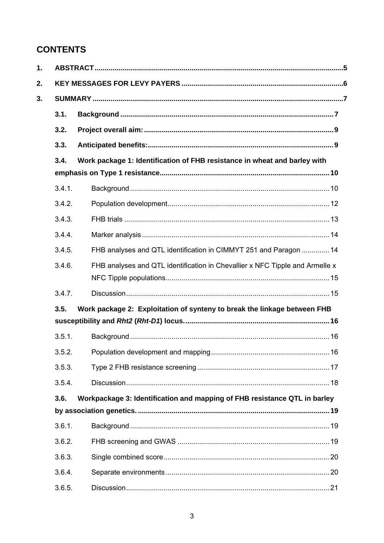# **CONTENTS**

| 1. |        |                                                                              |  |  |  |
|----|--------|------------------------------------------------------------------------------|--|--|--|
| 2. |        |                                                                              |  |  |  |
| 3. |        |                                                                              |  |  |  |
|    | 3.1.   |                                                                              |  |  |  |
|    | 3.2.   |                                                                              |  |  |  |
|    | 3.3.   |                                                                              |  |  |  |
|    | 3.4.   | Work package 1: Identification of FHB resistance in wheat and barley with    |  |  |  |
|    | 3.4.1. |                                                                              |  |  |  |
|    | 3.4.2. |                                                                              |  |  |  |
|    | 3.4.3. |                                                                              |  |  |  |
|    | 3.4.4. |                                                                              |  |  |  |
|    | 3.4.5. | FHB analyses and QTL identification in CIMMYT 251 and Paragon  14            |  |  |  |
|    | 3.4.6. | FHB analyses and QTL identification in Chevallier x NFC Tipple and Armelle x |  |  |  |
|    | 3.4.7. |                                                                              |  |  |  |
|    | 3.5.   | Work package 2: Exploitation of synteny to break the linkage between FHB     |  |  |  |
|    |        |                                                                              |  |  |  |
|    | 3.5.1. |                                                                              |  |  |  |
|    | 3.5.2. |                                                                              |  |  |  |
|    | 3.5.3. |                                                                              |  |  |  |
|    | 3.5.4. |                                                                              |  |  |  |
|    | 3.6.   | Workpackage 3: Identification and mapping of FHB resistance QTL in barley    |  |  |  |
|    |        |                                                                              |  |  |  |
|    | 3.6.1. |                                                                              |  |  |  |
|    | 3.6.2. |                                                                              |  |  |  |
|    | 3.6.3. |                                                                              |  |  |  |
|    | 3.6.4. |                                                                              |  |  |  |
|    | 3.6.5. |                                                                              |  |  |  |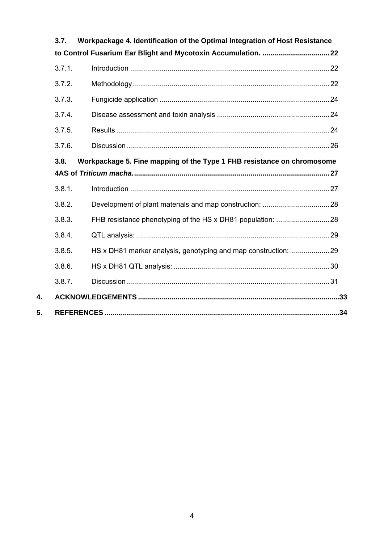| 3.7.   | Workpackage 4. Identification of the Optimal Integration of Host Resistance |  |  |  |  |  |
|--------|-----------------------------------------------------------------------------|--|--|--|--|--|
| 3.7.1. |                                                                             |  |  |  |  |  |
|        |                                                                             |  |  |  |  |  |
| 3.7.2. |                                                                             |  |  |  |  |  |
| 3.7.3. |                                                                             |  |  |  |  |  |
| 3.7.4. |                                                                             |  |  |  |  |  |
| 3.7.5. |                                                                             |  |  |  |  |  |
| 3.7.6. |                                                                             |  |  |  |  |  |
| 3.8.   | Workpackage 5. Fine mapping of the Type 1 FHB resistance on chromosome      |  |  |  |  |  |
|        |                                                                             |  |  |  |  |  |
| 3.8.1. |                                                                             |  |  |  |  |  |
| 3.8.2. |                                                                             |  |  |  |  |  |
| 3.8.3. |                                                                             |  |  |  |  |  |
| 3.8.4. |                                                                             |  |  |  |  |  |
| 3.8.5. | HS x DH81 marker analysis, genotyping and map construction: 29              |  |  |  |  |  |
| 3.8.6. |                                                                             |  |  |  |  |  |
| 3.8.7. |                                                                             |  |  |  |  |  |
|        |                                                                             |  |  |  |  |  |
|        |                                                                             |  |  |  |  |  |

4.

 $5.$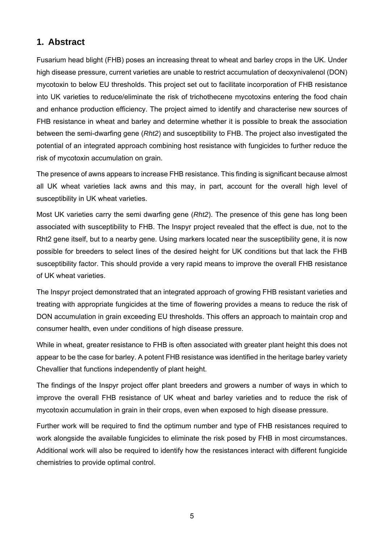## **1. Abstract**

Fusarium head blight (FHB) poses an increasing threat to wheat and barley crops in the UK. Under high disease pressure, current varieties are unable to restrict accumulation of deoxynivalenol (DON) mycotoxin to below EU thresholds. This project set out to facilitate incorporation of FHB resistance into UK varieties to reduce/eliminate the risk of trichothecene mycotoxins entering the food chain and enhance production efficiency. The project aimed to identify and characterise new sources of FHB resistance in wheat and barley and determine whether it is possible to break the association between the semi-dwarfing gene (*Rht2*) and susceptibility to FHB. The project also investigated the potential of an integrated approach combining host resistance with fungicides to further reduce the risk of mycotoxin accumulation on grain.

The presence of awns appears to increase FHB resistance. This finding is significant because almost all UK wheat varieties lack awns and this may, in part, account for the overall high level of susceptibility in UK wheat varieties.

Most UK varieties carry the semi dwarfing gene (*Rht2*). The presence of this gene has long been associated with susceptibility to FHB. The Inspyr project revealed that the effect is due, not to the Rht2 gene itself, but to a nearby gene. Using markers located near the susceptibility gene, it is now possible for breeders to select lines of the desired height for UK conditions but that lack the FHB susceptibility factor. This should provide a very rapid means to improve the overall FHB resistance of UK wheat varieties.

The Inspyr project demonstrated that an integrated approach of growing FHB resistant varieties and treating with appropriate fungicides at the time of flowering provides a means to reduce the risk of DON accumulation in grain exceeding EU thresholds. This offers an approach to maintain crop and consumer health, even under conditions of high disease pressure.

While in wheat, greater resistance to FHB is often associated with greater plant height this does not appear to be the case for barley. A potent FHB resistance was identified in the heritage barley variety Chevallier that functions independently of plant height.

The findings of the Inspyr project offer plant breeders and growers a number of ways in which to improve the overall FHB resistance of UK wheat and barley varieties and to reduce the risk of mycotoxin accumulation in grain in their crops, even when exposed to high disease pressure.

Further work will be required to find the optimum number and type of FHB resistances required to work alongside the available fungicides to eliminate the risk posed by FHB in most circumstances. Additional work will also be required to identify how the resistances interact with different fungicide chemistries to provide optimal control.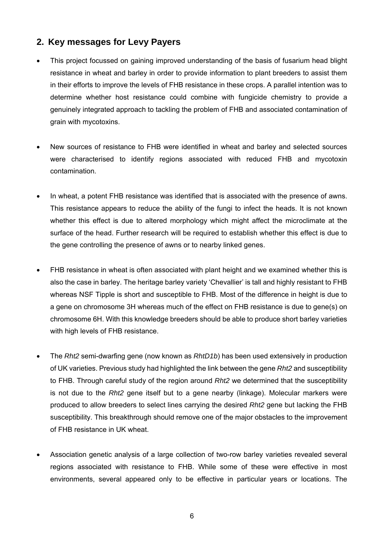### **2. Key messages for Levy Payers**

- This project focussed on gaining improved understanding of the basis of fusarium head blight resistance in wheat and barley in order to provide information to plant breeders to assist them in their efforts to improve the levels of FHB resistance in these crops. A parallel intention was to determine whether host resistance could combine with fungicide chemistry to provide a genuinely integrated approach to tackling the problem of FHB and associated contamination of grain with mycotoxins.
- New sources of resistance to FHB were identified in wheat and barley and selected sources were characterised to identify regions associated with reduced FHB and mycotoxin contamination.
- In wheat, a potent FHB resistance was identified that is associated with the presence of awns. This resistance appears to reduce the ability of the fungi to infect the heads. It is not known whether this effect is due to altered morphology which might affect the microclimate at the surface of the head. Further research will be required to establish whether this effect is due to the gene controlling the presence of awns or to nearby linked genes.
- FHB resistance in wheat is often associated with plant height and we examined whether this is also the case in barley. The heritage barley variety 'Chevallier' is tall and highly resistant to FHB whereas NSF Tipple is short and susceptible to FHB. Most of the difference in height is due to a gene on chromosome 3H whereas much of the effect on FHB resistance is due to gene(s) on chromosome 6H. With this knowledge breeders should be able to produce short barley varieties with high levels of FHB resistance.
- The *Rht2* semi-dwarfing gene (now known as *RhtD1b*) has been used extensively in production of UK varieties. Previous study had highlighted the link between the gene *Rht2* and susceptibility to FHB. Through careful study of the region around *Rht2* we determined that the susceptibility is not due to the *Rht2* gene itself but to a gene nearby (linkage). Molecular markers were produced to allow breeders to select lines carrying the desired *Rht2* gene but lacking the FHB susceptibility. This breakthrough should remove one of the major obstacles to the improvement of FHB resistance in UK wheat.
- Association genetic analysis of a large collection of two-row barley varieties revealed several regions associated with resistance to FHB. While some of these were effective in most environments, several appeared only to be effective in particular years or locations. The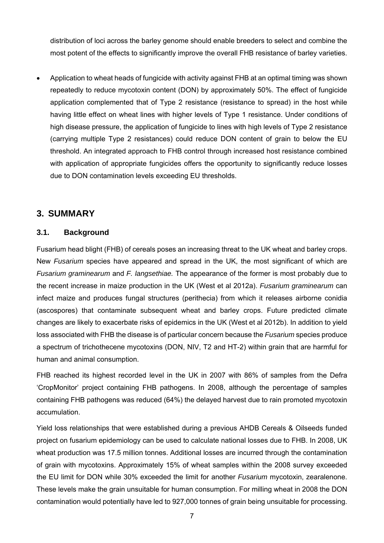distribution of loci across the barley genome should enable breeders to select and combine the most potent of the effects to significantly improve the overall FHB resistance of barley varieties.

 Application to wheat heads of fungicide with activity against FHB at an optimal timing was shown repeatedly to reduce mycotoxin content (DON) by approximately 50%. The effect of fungicide application complemented that of Type 2 resistance (resistance to spread) in the host while having little effect on wheat lines with higher levels of Type 1 resistance. Under conditions of high disease pressure, the application of fungicide to lines with high levels of Type 2 resistance (carrying multiple Type 2 resistances) could reduce DON content of grain to below the EU threshold. An integrated approach to FHB control through increased host resistance combined with application of appropriate fungicides offers the opportunity to significantly reduce losses due to DON contamination levels exceeding EU thresholds.

### **3. SUMMARY**

#### **3.1. Background**

Fusarium head blight (FHB) of cereals poses an increasing threat to the UK wheat and barley crops. New *Fusarium* species have appeared and spread in the UK, the most significant of which are *Fusarium graminearum* and *F. langsethiae.* The appearance of the former is most probably due to the recent increase in maize production in the UK (West et al 2012a). *Fusarium graminearum* can infect maize and produces fungal structures (perithecia) from which it releases airborne conidia (ascospores) that contaminate subsequent wheat and barley crops. Future predicted climate changes are likely to exacerbate risks of epidemics in the UK (West et al 2012b). In addition to yield loss associated with FHB the disease is of particular concern because the *Fusarium* species produce a spectrum of trichothecene mycotoxins (DON, NIV, T2 and HT-2) within grain that are harmful for human and animal consumption.

FHB reached its highest recorded level in the UK in 2007 with 86% of samples from the Defra 'CropMonitor' project containing FHB pathogens. In 2008, although the percentage of samples containing FHB pathogens was reduced (64%) the delayed harvest due to rain promoted mycotoxin accumulation.

Yield loss relationships that were established during a previous AHDB Cereals & Oilseeds funded project on fusarium epidemiology can be used to calculate national losses due to FHB. In 2008, UK wheat production was 17.5 million tonnes. Additional losses are incurred through the contamination of grain with mycotoxins. Approximately 15% of wheat samples within the 2008 survey exceeded the EU limit for DON while 30% exceeded the limit for another *Fusarium* mycotoxin, zearalenone. These levels make the grain unsuitable for human consumption. For milling wheat in 2008 the DON contamination would potentially have led to 927,000 tonnes of grain being unsuitable for processing.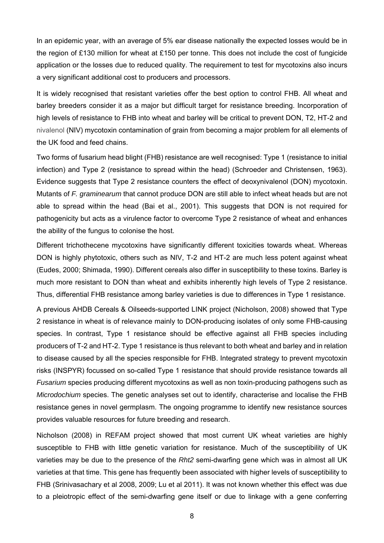In an epidemic year, with an average of 5% ear disease nationally the expected losses would be in the region of £130 million for wheat at £150 per tonne. This does not include the cost of fungicide application or the losses due to reduced quality. The requirement to test for mycotoxins also incurs a very significant additional cost to producers and processors.

It is widely recognised that resistant varieties offer the best option to control FHB. All wheat and barley breeders consider it as a major but difficult target for resistance breeding. Incorporation of high levels of resistance to FHB into wheat and barley will be critical to prevent DON, T2, HT-2 and nivalenol (NIV) mycotoxin contamination of grain from becoming a major problem for all elements of the UK food and feed chains.

Two forms of fusarium head blight (FHB) resistance are well recognised: Type 1 (resistance to initial infection) and Type 2 (resistance to spread within the head) (Schroeder and Christensen, 1963). Evidence suggests that Type 2 resistance counters the effect of deoxynivalenol (DON) mycotoxin. Mutants of *F. graminearum* that cannot produce DON are still able to infect wheat heads but are not able to spread within the head (Bai et al., 2001). This suggests that DON is not required for pathogenicity but acts as a virulence factor to overcome Type 2 resistance of wheat and enhances the ability of the fungus to colonise the host.

Different trichothecene mycotoxins have significantly different toxicities towards wheat. Whereas DON is highly phytotoxic, others such as NIV, T-2 and HT-2 are much less potent against wheat (Eudes, 2000; Shimada, 1990). Different cereals also differ in susceptibility to these toxins. Barley is much more resistant to DON than wheat and exhibits inherently high levels of Type 2 resistance. Thus, differential FHB resistance among barley varieties is due to differences in Type 1 resistance.

A previous AHDB Cereals & Oilseeds-supported LINK project (Nicholson, 2008) showed that Type 2 resistance in wheat is of relevance mainly to DON-producing isolates of only some FHB-causing species. In contrast, Type 1 resistance should be effective against all FHB species including producers of T-2 and HT-2. Type 1 resistance is thus relevant to both wheat and barley and in relation to disease caused by all the species responsible for FHB. Integrated strategy to prevent mycotoxin risks (INSPYR) focussed on so-called Type 1 resistance that should provide resistance towards all *Fusarium* species producing different mycotoxins as well as non toxin-producing pathogens such as *Microdochium* species. The genetic analyses set out to identify, characterise and localise the FHB resistance genes in novel germplasm. The ongoing programme to identify new resistance sources provides valuable resources for future breeding and research.

Nicholson (2008) in REFAM project showed that most current UK wheat varieties are highly susceptible to FHB with little genetic variation for resistance. Much of the susceptibility of UK varieties may be due to the presence of the *Rht2* semi-dwarfing gene which was in almost all UK varieties at that time. This gene has frequently been associated with higher levels of susceptibility to FHB (Srinivasachary et al 2008, 2009; Lu et al 2011). It was not known whether this effect was due to a pleiotropic effect of the semi-dwarfing gene itself or due to linkage with a gene conferring

8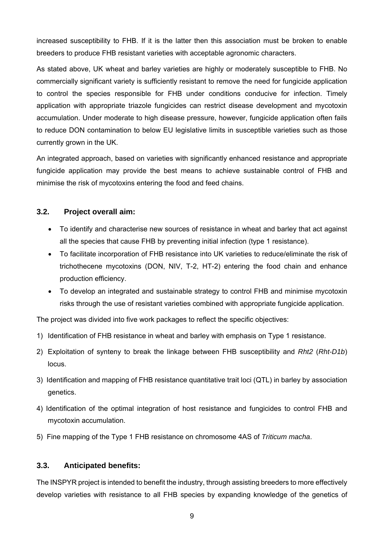increased susceptibility to FHB. If it is the latter then this association must be broken to enable breeders to produce FHB resistant varieties with acceptable agronomic characters.

As stated above, UK wheat and barley varieties are highly or moderately susceptible to FHB. No commercially significant variety is sufficiently resistant to remove the need for fungicide application to control the species responsible for FHB under conditions conducive for infection. Timely application with appropriate triazole fungicides can restrict disease development and mycotoxin accumulation. Under moderate to high disease pressure, however, fungicide application often fails to reduce DON contamination to below EU legislative limits in susceptible varieties such as those currently grown in the UK.

An integrated approach, based on varieties with significantly enhanced resistance and appropriate fungicide application may provide the best means to achieve sustainable control of FHB and minimise the risk of mycotoxins entering the food and feed chains.

### **3.2. Project overall aim:**

- To identify and characterise new sources of resistance in wheat and barley that act against all the species that cause FHB by preventing initial infection (type 1 resistance).
- To facilitate incorporation of FHB resistance into UK varieties to reduce/eliminate the risk of trichothecene mycotoxins (DON, NIV, T-2, HT-2) entering the food chain and enhance production efficiency.
- To develop an integrated and sustainable strategy to control FHB and minimise mycotoxin risks through the use of resistant varieties combined with appropriate fungicide application.

The project was divided into five work packages to reflect the specific objectives:

- 1) Identification of FHB resistance in wheat and barley with emphasis on Type 1 resistance.
- 2) Exploitation of synteny to break the linkage between FHB susceptibility and *Rht2* (*Rht-D1b*) locus.
- 3) Identification and mapping of FHB resistance quantitative trait loci (QTL) in barley by association genetics.
- 4) Identification of the optimal integration of host resistance and fungicides to control FHB and mycotoxin accumulation.
- 5) Fine mapping of the Type 1 FHB resistance on chromosome 4AS of *Triticum macha*.

#### **3.3. Anticipated benefits:**

The INSPYR project is intended to benefit the industry, through assisting breeders to more effectively develop varieties with resistance to all FHB species by expanding knowledge of the genetics of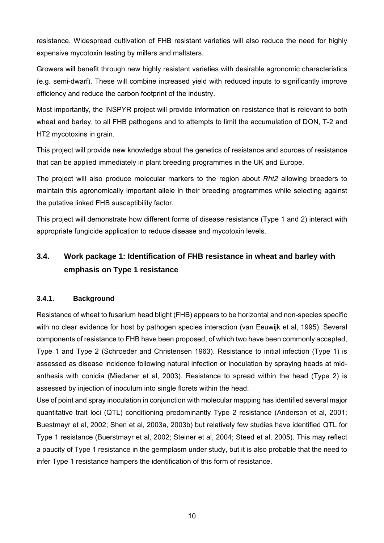resistance. Widespread cultivation of FHB resistant varieties will also reduce the need for highly expensive mycotoxin testing by millers and maltsters.

Growers will benefit through new highly resistant varieties with desirable agronomic characteristics (e.g. semi-dwarf). These will combine increased yield with reduced inputs to significantly improve efficiency and reduce the carbon footprint of the industry.

Most importantly, the INSPYR project will provide information on resistance that is relevant to both wheat and barley, to all FHB pathogens and to attempts to limit the accumulation of DON, T-2 and HT2 mycotoxins in grain.

This project will provide new knowledge about the genetics of resistance and sources of resistance that can be applied immediately in plant breeding programmes in the UK and Europe.

The project will also produce molecular markers to the region about *Rht2* allowing breeders to maintain this agronomically important allele in their breeding programmes while selecting against the putative linked FHB susceptibility factor.

This project will demonstrate how different forms of disease resistance (Type 1 and 2) interact with appropriate fungicide application to reduce disease and mycotoxin levels.

# **3.4. Work package 1: Identification of FHB resistance in wheat and barley with emphasis on Type 1 resistance**

### **3.4.1. Background**

Resistance of wheat to fusarium head blight (FHB) appears to be horizontal and non-species specific with no clear evidence for host by pathogen species interaction (van Eeuwijk et al, 1995). Several components of resistance to FHB have been proposed, of which two have been commonly accepted, Type 1 and Type 2 (Schroeder and Christensen 1963). Resistance to initial infection (Type 1) is assessed as disease incidence following natural infection or inoculation by spraying heads at midanthesis with conidia (Miedaner et al, 2003). Resistance to spread within the head (Type 2) is assessed by injection of inoculum into single florets within the head.

Use of point and spray inoculation in conjunction with molecular mapping has identified several major quantitative trait loci (QTL) conditioning predominantly Type 2 resistance (Anderson et al, 2001; Buestmayr et al, 2002; Shen et al, 2003a, 2003b) but relatively few studies have identified QTL for Type 1 resistance (Buerstmayr et al, 2002; Steiner et al, 2004; Steed et al, 2005). This may reflect a paucity of Type 1 resistance in the germplasm under study, but it is also probable that the need to infer Type 1 resistance hampers the identification of this form of resistance.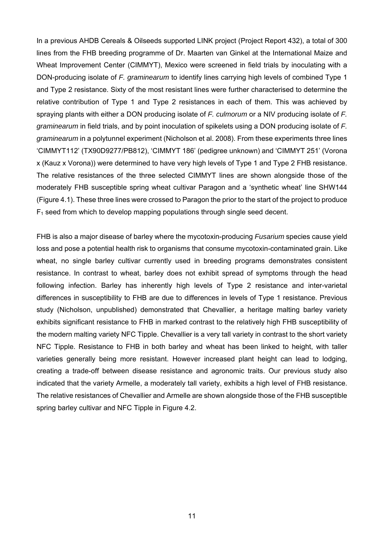In a previous AHDB Cereals & Oilseeds supported LINK project (Project Report 432), a total of 300 lines from the FHB breeding programme of Dr. Maarten van Ginkel at the International Maize and Wheat Improvement Center (CIMMYT), Mexico were screened in field trials by inoculating with a DON-producing isolate of *F. graminearum* to identify lines carrying high levels of combined Type 1 and Type 2 resistance. Sixty of the most resistant lines were further characterised to determine the relative contribution of Type 1 and Type 2 resistances in each of them. This was achieved by spraying plants with either a DON producing isolate of *F. culmorum* or a NIV producing isolate of *F. graminearum* in field trials, and by point inoculation of spikelets using a DON producing isolate of *F. graminearum* in a polytunnel experiment (Nicholson et al. 2008). From these experiments three lines 'CIMMYT112' (TX90D9277/PB812), 'CIMMYT 186' (pedigree unknown) and 'CIMMYT 251' (Vorona x (Kauz x Vorona)) were determined to have very high levels of Type 1 and Type 2 FHB resistance. The relative resistances of the three selected CIMMYT lines are shown alongside those of the moderately FHB susceptible spring wheat cultivar Paragon and a 'synthetic wheat' line SHW144 (Figure 4.1). These three lines were crossed to Paragon the prior to the start of the project to produce  $F_1$  seed from which to develop mapping populations through single seed decent.

FHB is also a major disease of barley where the mycotoxin-producing *Fusarium* species cause yield loss and pose a potential health risk to organisms that consume mycotoxin-contaminated grain. Like wheat, no single barley cultivar currently used in breeding programs demonstrates consistent resistance. In contrast to wheat, barley does not exhibit spread of symptoms through the head following infection. Barley has inherently high levels of Type 2 resistance and inter-varietal differences in susceptibility to FHB are due to differences in levels of Type 1 resistance. Previous study (Nicholson, unpublished) demonstrated that Chevallier, a heritage malting barley variety exhibits significant resistance to FHB in marked contrast to the relatively high FHB susceptibility of the modern malting variety NFC Tipple. Chevallier is a very tall variety in contrast to the short variety NFC Tipple. Resistance to FHB in both barley and wheat has been linked to height, with taller varieties generally being more resistant. However increased plant height can lead to lodging, creating a trade-off between disease resistance and agronomic traits. Our previous study also indicated that the variety Armelle, a moderately tall variety, exhibits a high level of FHB resistance. The relative resistances of Chevallier and Armelle are shown alongside those of the FHB susceptible spring barley cultivar and NFC Tipple in Figure 4.2.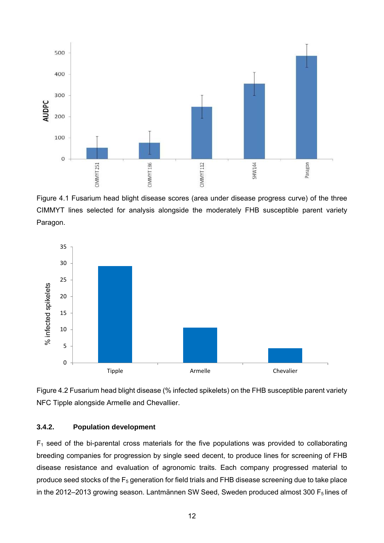

Figure 4.1 Fusarium head blight disease scores (area under disease progress curve) of the three CIMMYT lines selected for analysis alongside the moderately FHB susceptible parent variety Paragon.



Figure 4.2 Fusarium head blight disease (% infected spikelets) on the FHB susceptible parent variety NFC Tipple alongside Armelle and Chevallier.

#### **3.4.2. Population development**

 $F_1$  seed of the bi-parental cross materials for the five populations was provided to collaborating breeding companies for progression by single seed decent, to produce lines for screening of FHB disease resistance and evaluation of agronomic traits. Each company progressed material to produce seed stocks of the  $F_5$  generation for field trials and FHB disease screening due to take place in the 2012–2013 growing season. Lantmännen SW Seed, Sweden produced almost 300  $F_5$  lines of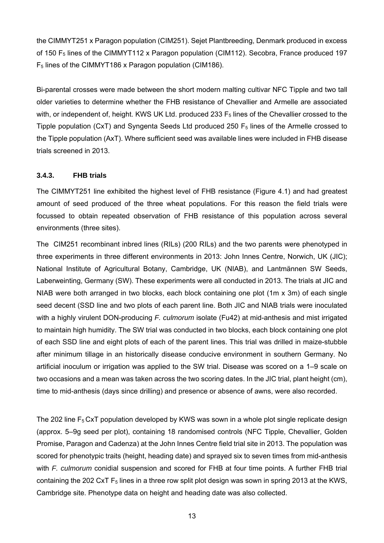the CIMMYT251 x Paragon population (CIM251). Sejet Plantbreeding, Denmark produced in excess of 150 F<sub>5</sub> lines of the CIMMYT112 x Paragon population (CIM112). Secobra, France produced 197 F5 lines of the CIMMYT186 x Paragon population (CIM186).

Bi-parental crosses were made between the short modern malting cultivar NFC Tipple and two tall older varieties to determine whether the FHB resistance of Chevallier and Armelle are associated with, or independent of, height. KWS UK Ltd. produced 233  $F<sub>5</sub>$  lines of the Chevallier crossed to the Tipple population (CxT) and Syngenta Seeds Ltd produced 250  $F<sub>5</sub>$  lines of the Armelle crossed to the Tipple population (AxT). Where sufficient seed was available lines were included in FHB disease trials screened in 2013.

#### **3.4.3. FHB trials**

The CIMMYT251 line exhibited the highest level of FHB resistance (Figure 4.1) and had greatest amount of seed produced of the three wheat populations. For this reason the field trials were focussed to obtain repeated observation of FHB resistance of this population across several environments (three sites).

The CIM251 recombinant inbred lines (RILs) (200 RILs) and the two parents were phenotyped in three experiments in three different environments in 2013: John Innes Centre, Norwich, UK (JIC); National Institute of Agricultural Botany, Cambridge, UK (NIAB), and Lantmännen SW Seeds, Laberweinting, Germany (SW). These experiments were all conducted in 2013. The trials at JIC and NIAB were both arranged in two blocks, each block containing one plot (1m x 3m) of each single seed decent (SSD line and two plots of each parent line. Both JIC and NIAB trials were inoculated with a highly virulent DON-producing *F. culmorum* isolate (Fu42) at mid-anthesis and mist irrigated to maintain high humidity. The SW trial was conducted in two blocks, each block containing one plot of each SSD line and eight plots of each of the parent lines. This trial was drilled in maize-stubble after minimum tillage in an historically disease conducive environment in southern Germany. No artificial inoculum or irrigation was applied to the SW trial. Disease was scored on a 1–9 scale on two occasions and a mean was taken across the two scoring dates. In the JIC trial, plant height (cm), time to mid-anthesis (days since drilling) and presence or absence of awns, were also recorded.

The 202 line  $F_5$  CxT population developed by KWS was sown in a whole plot single replicate design (approx. 5–9g seed per plot), containing 18 randomised controls (NFC Tipple, Chevallier, Golden Promise, Paragon and Cadenza) at the John Innes Centre field trial site in 2013. The population was scored for phenotypic traits (height, heading date) and sprayed six to seven times from mid-anthesis with *F. culmorum* conidial suspension and scored for FHB at four time points. A further FHB trial containing the 202 CxT  $F_5$  lines in a three row split plot design was sown in spring 2013 at the KWS, Cambridge site. Phenotype data on height and heading date was also collected.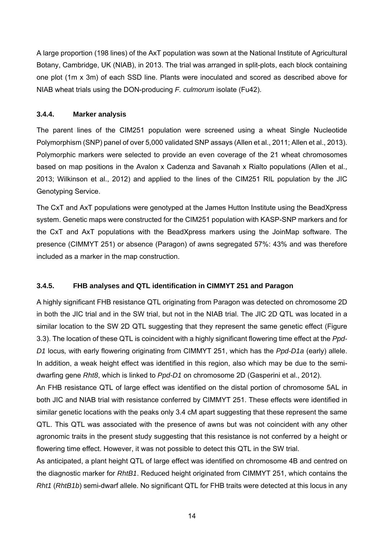A large proportion (198 lines) of the AxT population was sown at the National Institute of Agricultural Botany, Cambridge, UK (NIAB), in 2013. The trial was arranged in split-plots, each block containing one plot (1m x 3m) of each SSD line. Plants were inoculated and scored as described above for NIAB wheat trials using the DON-producing *F. culmorum* isolate (Fu42).

#### **3.4.4. Marker analysis**

The parent lines of the CIM251 population were screened using a wheat Single Nucleotide Polymorphism (SNP) panel of over 5,000 validated SNP assays (Allen et al., 2011; Allen et al., 2013). Polymorphic markers were selected to provide an even coverage of the 21 wheat chromosomes based on map positions in the Avalon x Cadenza and Savanah x Rialto populations (Allen et al., 2013; Wilkinson et al., 2012) and applied to the lines of the CIM251 RIL population by the JIC Genotyping Service.

The CxT and AxT populations were genotyped at the James Hutton Institute using the BeadXpress system. Genetic maps were constructed for the CIM251 population with KASP-SNP markers and for the CxT and AxT populations with the BeadXpress markers using the JoinMap software. The presence (CIMMYT 251) or absence (Paragon) of awns segregated 57%: 43% and was therefore included as a marker in the map construction.

#### **3.4.5. FHB analyses and QTL identification in CIMMYT 251 and Paragon**

A highly significant FHB resistance QTL originating from Paragon was detected on chromosome 2D in both the JIC trial and in the SW trial, but not in the NIAB trial. The JIC 2D QTL was located in a similar location to the SW 2D QTL suggesting that they represent the same genetic effect (Figure 3.3). The location of these QTL is coincident with a highly significant flowering time effect at the *Ppd-D1* locus*,* with early flowering originating from CIMMYT 251, which has the *Ppd-D1a* (early) allele. In addition, a weak height effect was identified in this region, also which may be due to the semidwarfing gene *Rht8*, which is linked to *Ppd-D1* on chromosome 2D (Gasperini et al., 2012).

An FHB resistance QTL of large effect was identified on the distal portion of chromosome 5AL in both JIC and NIAB trial with resistance conferred by CIMMYT 251. These effects were identified in similar genetic locations with the peaks only 3.4 cM apart suggesting that these represent the same QTL. This QTL was associated with the presence of awns but was not coincident with any other agronomic traits in the present study suggesting that this resistance is not conferred by a height or flowering time effect. However, it was not possible to detect this QTL in the SW trial.

As anticipated, a plant height QTL of large effect was identified on chromosome 4B and centred on the diagnostic marker for *RhtB1*. Reduced height originated from CIMMYT 251, which contains the *Rht1* (*RhtB1b*) semi-dwarf allele. No significant QTL for FHB traits were detected at this locus in any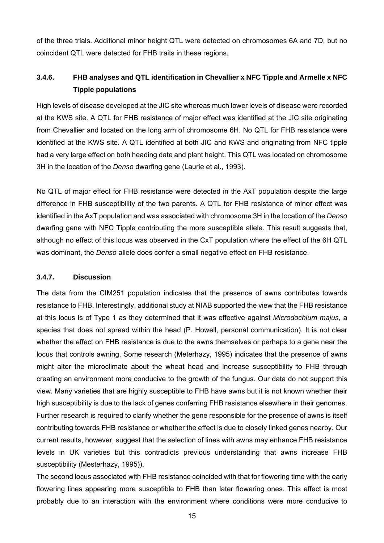of the three trials. Additional minor height QTL were detected on chromosomes 6A and 7D, but no coincident QTL were detected for FHB traits in these regions.

## **3.4.6. FHB analyses and QTL identification in Chevallier x NFC Tipple and Armelle x NFC Tipple populations**

High levels of disease developed at the JIC site whereas much lower levels of disease were recorded at the KWS site. A QTL for FHB resistance of major effect was identified at the JIC site originating from Chevallier and located on the long arm of chromosome 6H. No QTL for FHB resistance were identified at the KWS site. A QTL identified at both JIC and KWS and originating from NFC tipple had a very large effect on both heading date and plant height. This QTL was located on chromosome 3H in the location of the *Denso* dwarfing gene (Laurie et al., 1993).

No QTL of major effect for FHB resistance were detected in the AxT population despite the large difference in FHB susceptibility of the two parents. A QTL for FHB resistance of minor effect was identified in the AxT population and was associated with chromosome 3H in the location of the *Denso* dwarfing gene with NFC Tipple contributing the more susceptible allele. This result suggests that, although no effect of this locus was observed in the CxT population where the effect of the 6H QTL was dominant, the *Denso* allele does confer a small negative effect on FHB resistance.

#### **3.4.7. Discussion**

The data from the CIM251 population indicates that the presence of awns contributes towards resistance to FHB. Interestingly, additional study at NIAB supported the view that the FHB resistance at this locus is of Type 1 as they determined that it was effective against *Microdochium majus*, a species that does not spread within the head (P. Howell, personal communication). It is not clear whether the effect on FHB resistance is due to the awns themselves or perhaps to a gene near the locus that controls awning. Some research (Meterhazy, 1995) indicates that the presence of awns might alter the microclimate about the wheat head and increase susceptibility to FHB through creating an environment more conducive to the growth of the fungus. Our data do not support this view. Many varieties that are highly susceptible to FHB have awns but it is not known whether their high susceptibility is due to the lack of genes conferring FHB resistance elsewhere in their genomes. Further research is required to clarify whether the gene responsible for the presence of awns is itself contributing towards FHB resistance or whether the effect is due to closely linked genes nearby. Our current results, however, suggest that the selection of lines with awns may enhance FHB resistance levels in UK varieties but this contradicts previous understanding that awns increase FHB susceptibility (Mesterhazy, 1995)).

The second locus associated with FHB resistance coincided with that for flowering time with the early flowering lines appearing more susceptible to FHB than later flowering ones. This effect is most probably due to an interaction with the environment where conditions were more conducive to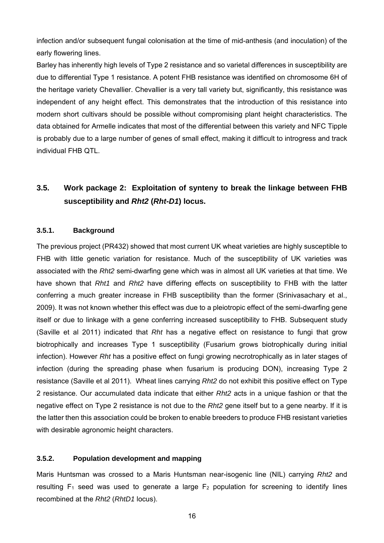infection and/or subsequent fungal colonisation at the time of mid-anthesis (and inoculation) of the early flowering lines.

Barley has inherently high levels of Type 2 resistance and so varietal differences in susceptibility are due to differential Type 1 resistance. A potent FHB resistance was identified on chromosome 6H of the heritage variety Chevallier. Chevallier is a very tall variety but, significantly, this resistance was independent of any height effect. This demonstrates that the introduction of this resistance into modern short cultivars should be possible without compromising plant height characteristics. The data obtained for Armelle indicates that most of the differential between this variety and NFC Tipple is probably due to a large number of genes of small effect, making it difficult to introgress and track individual FHB QTL.

# **3.5. Work package 2: Exploitation of synteny to break the linkage between FHB susceptibility and** *Rht2* **(***Rht-D1***) locus.**

#### **3.5.1. Background**

The previous project (PR432) showed that most current UK wheat varieties are highly susceptible to FHB with little genetic variation for resistance. Much of the susceptibility of UK varieties was associated with the *Rht2* semi-dwarfing gene which was in almost all UK varieties at that time. We have shown that *Rht1* and *Rht2* have differing effects on susceptibility to FHB with the latter conferring a much greater increase in FHB susceptibility than the former (Srinivasachary et al., 2009). It was not known whether this effect was due to a pleiotropic effect of the semi-dwarfing gene itself or due to linkage with a gene conferring increased susceptibility to FHB. Subsequent study (Saville et al 2011) indicated that *Rht* has a negative effect on resistance to fungi that grow biotrophically and increases Type 1 susceptibility (Fusarium grows biotrophically during initial infection). However *Rht* has a positive effect on fungi growing necrotrophically as in later stages of infection (during the spreading phase when fusarium is producing DON), increasing Type 2 resistance (Saville et al 2011). Wheat lines carrying *Rht2* do not exhibit this positive effect on Type 2 resistance. Our accumulated data indicate that either *Rht2* acts in a unique fashion or that the negative effect on Type 2 resistance is not due to the *Rht2* gene itself but to a gene nearby. If it is the latter then this association could be broken to enable breeders to produce FHB resistant varieties with desirable agronomic height characters.

#### **3.5.2. Population development and mapping**

Maris Huntsman was crossed to a Maris Huntsman near-isogenic line (NIL) carrying *Rht2* and resulting  $F_1$  seed was used to generate a large  $F_2$  population for screening to identify lines recombined at the *Rht2* (*RhtD1* locus).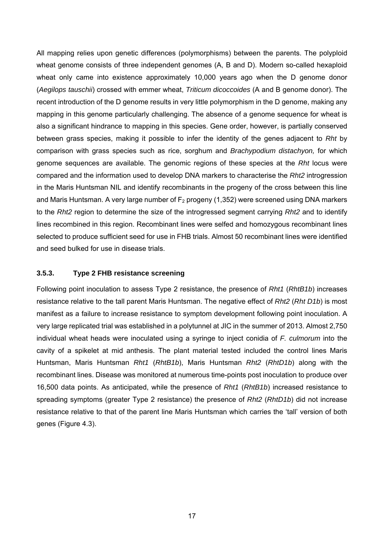All mapping relies upon genetic differences (polymorphisms) between the parents. The polyploid wheat genome consists of three independent genomes (A, B and D). Modern so-called hexaploid wheat only came into existence approximately 10,000 years ago when the D genome donor (*Aegilops tauschii*) crossed with emmer wheat, *Triticum dicoccoides* (A and B genome donor). The recent introduction of the D genome results in very little polymorphism in the D genome, making any mapping in this genome particularly challenging. The absence of a genome sequence for wheat is also a significant hindrance to mapping in this species. Gene order, however, is partially conserved between grass species, making it possible to infer the identity of the genes adjacent to *Rht* by comparison with grass species such as rice, sorghum and *Brachypodium distachyon,* for which genome sequences are available. The genomic regions of these species at the *Rht* locus were compared and the information used to develop DNA markers to characterise the *Rht2* introgression in the Maris Huntsman NIL and identify recombinants in the progeny of the cross between this line and Maris Huntsman. A very large number of  $F_2$  progeny (1,352) were screened using DNA markers to the *Rht2* region to determine the size of the introgressed segment carrying *Rht2* and to identify lines recombined in this region. Recombinant lines were selfed and homozygous recombinant lines selected to produce sufficient seed for use in FHB trials. Almost 50 recombinant lines were identified and seed bulked for use in disease trials.

#### **3.5.3. Type 2 FHB resistance screening**

Following point inoculation to assess Type 2 resistance, the presence of *Rht1* (*RhtB1b*) increases resistance relative to the tall parent Maris Huntsman. The negative effect of *Rht2* (*Rht D1b*) is most manifest as a failure to increase resistance to symptom development following point inoculation. A very large replicated trial was established in a polytunnel at JIC in the summer of 2013. Almost 2,750 individual wheat heads were inoculated using a syringe to inject conidia of *F. culmorum* into the cavity of a spikelet at mid anthesis. The plant material tested included the control lines Maris Huntsman, Maris Huntsman *Rht1* (*RhtB1b*), Maris Huntsman *Rht2* (*RhtD1b*) along with the recombinant lines. Disease was monitored at numerous time-points post inoculation to produce over 16,500 data points. As anticipated, while the presence of *Rht1* (*RhtB1b*) increased resistance to spreading symptoms (greater Type 2 resistance) the presence of *Rht2* (*RhtD1b*) did not increase resistance relative to that of the parent line Maris Huntsman which carries the 'tall' version of both genes (Figure 4.3).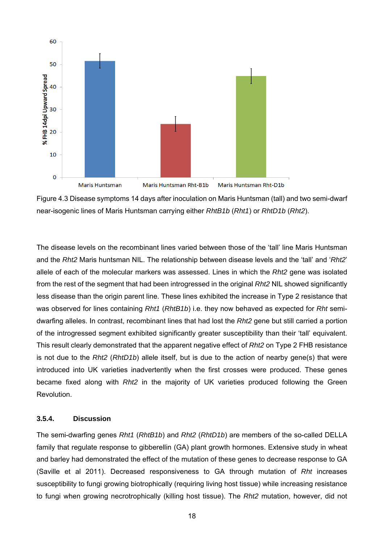



The disease levels on the recombinant lines varied between those of the 'tall' line Maris Huntsman and the *Rht2* Maris huntsman NIL. The relationship between disease levels and the 'tall' and '*Rht2*' allele of each of the molecular markers was assessed. Lines in which the *Rht2* gene was isolated from the rest of the segment that had been introgressed in the original *Rht2* NIL showed significantly less disease than the origin parent line. These lines exhibited the increase in Type 2 resistance that was observed for lines containing *Rht1* (*RhtB1b*) i.e. they now behaved as expected for *Rht* semidwarfing alleles. In contrast, recombinant lines that had lost the *Rht2* gene but still carried a portion of the introgressed segment exhibited significantly greater susceptibility than their 'tall' equivalent. This result clearly demonstrated that the apparent negative effect of *Rht2* on Type 2 FHB resistance is not due to the *Rht2* (*RhtD1b*) allele itself, but is due to the action of nearby gene(s) that were introduced into UK varieties inadvertently when the first crosses were produced. These genes became fixed along with *Rht2* in the majority of UK varieties produced following the Green Revolution.

#### **3.5.4. Discussion**

The semi-dwarfing genes *Rht1* (*RhtB1b*) and *Rht2* (*RhtD1b*) are members of the so-called DELLA family that regulate response to gibberellin (GA) plant growth hormones. Extensive study in wheat and barley had demonstrated the effect of the mutation of these genes to decrease response to GA (Saville et al 2011). Decreased responsiveness to GA through mutation of *Rht* increases susceptibility to fungi growing biotrophically (requiring living host tissue) while increasing resistance to fungi when growing necrotrophically (killing host tissue). The *Rht2* mutation, however, did not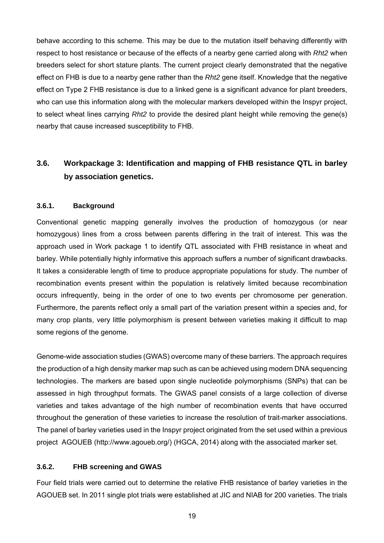behave according to this scheme. This may be due to the mutation itself behaving differently with respect to host resistance or because of the effects of a nearby gene carried along with *Rht2* when breeders select for short stature plants. The current project clearly demonstrated that the negative effect on FHB is due to a nearby gene rather than the *Rht2* gene itself. Knowledge that the negative effect on Type 2 FHB resistance is due to a linked gene is a significant advance for plant breeders, who can use this information along with the molecular markers developed within the Inspyr project, to select wheat lines carrying *Rht2* to provide the desired plant height while removing the gene(s) nearby that cause increased susceptibility to FHB.

# **3.6. Workpackage 3: Identification and mapping of FHB resistance QTL in barley by association genetics.**

#### **3.6.1. Background**

Conventional genetic mapping generally involves the production of homozygous (or near homozygous) lines from a cross between parents differing in the trait of interest. This was the approach used in Work package 1 to identify QTL associated with FHB resistance in wheat and barley. While potentially highly informative this approach suffers a number of significant drawbacks. It takes a considerable length of time to produce appropriate populations for study. The number of recombination events present within the population is relatively limited because recombination occurs infrequently, being in the order of one to two events per chromosome per generation. Furthermore, the parents reflect only a small part of the variation present within a species and, for many crop plants, very little polymorphism is present between varieties making it difficult to map some regions of the genome.

Genome-wide association studies (GWAS) overcome many of these barriers. The approach requires the production of a high density marker map such as can be achieved using modern DNA sequencing technologies. The markers are based upon single nucleotide polymorphisms (SNPs) that can be assessed in high throughput formats. The GWAS panel consists of a large collection of diverse varieties and takes advantage of the high number of recombination events that have occurred throughout the generation of these varieties to increase the resolution of trait-marker associations. The panel of barley varieties used in the Inspyr project originated from the set used within a previous project AGOUEB (http://www.agoueb.org/) (HGCA, 2014) along with the associated marker set.

#### **3.6.2. FHB screening and GWAS**

Four field trials were carried out to determine the relative FHB resistance of barley varieties in the AGOUEB set. In 2011 single plot trials were established at JIC and NIAB for 200 varieties. The trials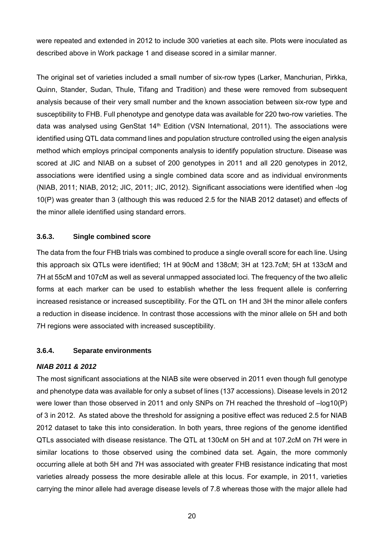were repeated and extended in 2012 to include 300 varieties at each site. Plots were inoculated as described above in Work package 1 and disease scored in a similar manner.

The original set of varieties included a small number of six-row types (Larker, Manchurian, Pirkka, Quinn, Stander, Sudan, Thule, Tifang and Tradition) and these were removed from subsequent analysis because of their very small number and the known association between six-row type and susceptibility to FHB. Full phenotype and genotype data was available for 220 two-row varieties. The data was analysed using GenStat 14<sup>th</sup> Edition (VSN International, 2011). The associations were identified using QTL data command lines and population structure controlled using the eigen analysis method which employs principal components analysis to identify population structure. Disease was scored at JIC and NIAB on a subset of 200 genotypes in 2011 and all 220 genotypes in 2012, associations were identified using a single combined data score and as individual environments (NIAB, 2011; NIAB, 2012; JIC, 2011; JIC, 2012). Significant associations were identified when -log 10(P) was greater than 3 (although this was reduced 2.5 for the NIAB 2012 dataset) and effects of the minor allele identified using standard errors.

#### **3.6.3. Single combined score**

The data from the four FHB trials was combined to produce a single overall score for each line. Using this approach six QTLs were identified; 1H at 90cM and 138cM; 3H at 123.7cM; 5H at 133cM and 7H at 55cM and 107cM as well as several unmapped associated loci. The frequency of the two allelic forms at each marker can be used to establish whether the less frequent allele is conferring increased resistance or increased susceptibility. For the QTL on 1H and 3H the minor allele confers a reduction in disease incidence. In contrast those accessions with the minor allele on 5H and both 7H regions were associated with increased susceptibility.

#### **3.6.4. Separate environments**

#### *NIAB 2011 & 2012*

The most significant associations at the NIAB site were observed in 2011 even though full genotype and phenotype data was available for only a subset of lines (137 accessions). Disease levels in 2012 were lower than those observed in 2011 and only SNPs on 7H reached the threshold of –log10(P) of 3 in 2012. As stated above the threshold for assigning a positive effect was reduced 2.5 for NIAB 2012 dataset to take this into consideration. In both years, three regions of the genome identified QTLs associated with disease resistance. The QTL at 130cM on 5H and at 107.2cM on 7H were in similar locations to those observed using the combined data set. Again, the more commonly occurring allele at both 5H and 7H was associated with greater FHB resistance indicating that most varieties already possess the more desirable allele at this locus. For example, in 2011, varieties carrying the minor allele had average disease levels of 7.8 whereas those with the major allele had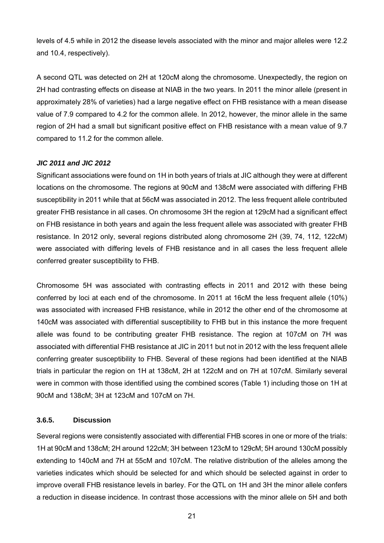levels of 4.5 while in 2012 the disease levels associated with the minor and major alleles were 12.2 and 10.4, respectively).

A second QTL was detected on 2H at 120cM along the chromosome. Unexpectedly, the region on 2H had contrasting effects on disease at NIAB in the two years. In 2011 the minor allele (present in approximately 28% of varieties) had a large negative effect on FHB resistance with a mean disease value of 7.9 compared to 4.2 for the common allele. In 2012, however, the minor allele in the same region of 2H had a small but significant positive effect on FHB resistance with a mean value of 9.7 compared to 11.2 for the common allele.

#### *JIC 2011 and JIC 2012*

Significant associations were found on 1H in both years of trials at JIC although they were at different locations on the chromosome. The regions at 90cM and 138cM were associated with differing FHB susceptibility in 2011 while that at 56cM was associated in 2012. The less frequent allele contributed greater FHB resistance in all cases. On chromosome 3H the region at 129cM had a significant effect on FHB resistance in both years and again the less frequent allele was associated with greater FHB resistance. In 2012 only, several regions distributed along chromosome 2H (39, 74, 112, 122cM) were associated with differing levels of FHB resistance and in all cases the less frequent allele conferred greater susceptibility to FHB.

Chromosome 5H was associated with contrasting effects in 2011 and 2012 with these being conferred by loci at each end of the chromosome. In 2011 at 16cM the less frequent allele (10%) was associated with increased FHB resistance, while in 2012 the other end of the chromosome at 140cM was associated with differential susceptibility to FHB but in this instance the more frequent allele was found to be contributing greater FHB resistance. The region at 107cM on 7H was associated with differential FHB resistance at JIC in 2011 but not in 2012 with the less frequent allele conferring greater susceptibility to FHB. Several of these regions had been identified at the NIAB trials in particular the region on 1H at 138cM, 2H at 122cM and on 7H at 107cM. Similarly several were in common with those identified using the combined scores (Table 1) including those on 1H at 90cM and 138cM; 3H at 123cM and 107cM on 7H.

#### **3.6.5. Discussion**

Several regions were consistently associated with differential FHB scores in one or more of the trials: 1H at 90cM and 138cM; 2H around 122cM; 3H between 123cM to 129cM; 5H around 130cM possibly extending to 140cM and 7H at 55cM and 107cM. The relative distribution of the alleles among the varieties indicates which should be selected for and which should be selected against in order to improve overall FHB resistance levels in barley. For the QTL on 1H and 3H the minor allele confers a reduction in disease incidence. In contrast those accessions with the minor allele on 5H and both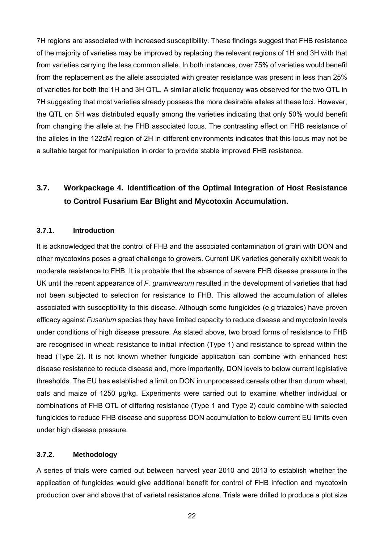7H regions are associated with increased susceptibility. These findings suggest that FHB resistance of the majority of varieties may be improved by replacing the relevant regions of 1H and 3H with that from varieties carrying the less common allele. In both instances, over 75% of varieties would benefit from the replacement as the allele associated with greater resistance was present in less than 25% of varieties for both the 1H and 3H QTL. A similar allelic frequency was observed for the two QTL in 7H suggesting that most varieties already possess the more desirable alleles at these loci. However, the QTL on 5H was distributed equally among the varieties indicating that only 50% would benefit from changing the allele at the FHB associated locus. The contrasting effect on FHB resistance of the alleles in the 122cM region of 2H in different environments indicates that this locus may not be a suitable target for manipulation in order to provide stable improved FHB resistance.

# **3.7. Workpackage 4. Identification of the Optimal Integration of Host Resistance to Control Fusarium Ear Blight and Mycotoxin Accumulation.**

#### **3.7.1. Introduction**

It is acknowledged that the control of FHB and the associated contamination of grain with DON and other mycotoxins poses a great challenge to growers. Current UK varieties generally exhibit weak to moderate resistance to FHB. It is probable that the absence of severe FHB disease pressure in the UK until the recent appearance of *F. graminearum* resulted in the development of varieties that had not been subjected to selection for resistance to FHB. This allowed the accumulation of alleles associated with susceptibility to this disease. Although some fungicides (e.g triazoles) have proven efficacy against *Fusarium* species they have limited capacity to reduce disease and mycotoxin levels under conditions of high disease pressure. As stated above, two broad forms of resistance to FHB are recognised in wheat: resistance to initial infection (Type 1) and resistance to spread within the head (Type 2). It is not known whether fungicide application can combine with enhanced host disease resistance to reduce disease and, more importantly, DON levels to below current legislative thresholds. The EU has established a limit on DON in unprocessed cereals other than durum wheat, oats and maize of 1250 μg/kg. Experiments were carried out to examine whether individual or combinations of FHB QTL of differing resistance (Type 1 and Type 2) could combine with selected fungicides to reduce FHB disease and suppress DON accumulation to below current EU limits even under high disease pressure.

#### **3.7.2. Methodology**

A series of trials were carried out between harvest year 2010 and 2013 to establish whether the application of fungicides would give additional benefit for control of FHB infection and mycotoxin production over and above that of varietal resistance alone. Trials were drilled to produce a plot size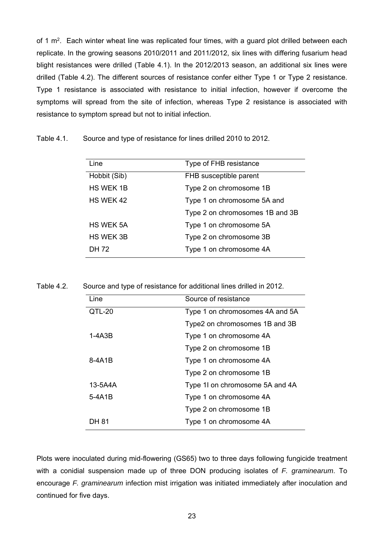of 1 m<sup>2</sup>. Each winter wheat line was replicated four times, with a guard plot drilled between each replicate. In the growing seasons 2010/2011 and 2011/2012, six lines with differing fusarium head blight resistances were drilled (Table 4.1). In the 2012/2013 season, an additional six lines were drilled (Table 4.2). The different sources of resistance confer either Type 1 or Type 2 resistance. Type 1 resistance is associated with resistance to initial infection, however if overcome the symptoms will spread from the site of infection, whereas Type 2 resistance is associated with resistance to symptom spread but not to initial infection.

Table 4.1. Source and type of resistance for lines drilled 2010 to 2012.

| Line             | Type of FHB resistance          |
|------------------|---------------------------------|
| Hobbit (Sib)     | FHB susceptible parent          |
| <b>HS WEK 1B</b> | Type 2 on chromosome 1B         |
| HS WEK 42        | Type 1 on chromosome 5A and     |
|                  | Type 2 on chromosomes 1B and 3B |
| <b>HS WEK 5A</b> | Type 1 on chromosome 5A         |
| <b>HS WEK 3B</b> | Type 2 on chromosome 3B         |
| DH 72            | Type 1 on chromosome 4A         |

Table 4.2. Source and type of resistance for additional lines drilled in 2012.

| Line     | Source of resistance            |
|----------|---------------------------------|
| QTL-20   | Type 1 on chromosomes 4A and 5A |
|          | Type2 on chromosomes 1B and 3B  |
| 1-4A3B   | Type 1 on chromosome 4A         |
|          | Type 2 on chromosome 1B         |
| 8-4A1B   | Type 1 on chromosome 4A         |
|          | Type 2 on chromosome 1B         |
| 13-5A4A  | Type 11 on chromosome 5A and 4A |
| $5-4A1B$ | Type 1 on chromosome 4A         |
|          | Type 2 on chromosome 1B         |
| DH 81    | Type 1 on chromosome 4A         |

Plots were inoculated during mid-flowering (GS65) two to three days following fungicide treatment with a conidial suspension made up of three DON producing isolates of *F. graminearum*. To encourage *F. graminearum* infection mist irrigation was initiated immediately after inoculation and continued for five days.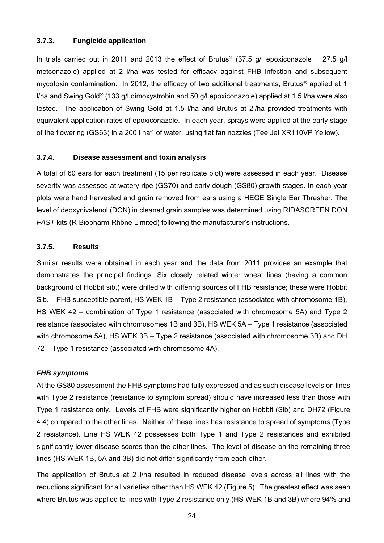#### **3.7.3. Fungicide application**

In trials carried out in 2011 and 2013 the effect of Brutus<sup>®</sup> (37.5 g/l epoxiconazole + 27.5 g/l metconazole) applied at 2 l/ha was tested for efficacy against FHB infection and subsequent mycotoxin contamination. In 2012, the efficacy of two additional treatments, Brutus® applied at 1 l/ha and Swing Gold® (133 g/l dimoxystrobin and 50 g/l epoxiconazole) applied at 1.5 l/ha were also tested. The application of Swing Gold at 1.5 l/ha and Brutus at 2l/ha provided treatments with equivalent application rates of epoxiconazole. In each year, sprays were applied at the early stage of the flowering (GS63) in a 200 l ha<sup>-1</sup> of water using flat fan nozzles (Tee Jet XR110VP Yellow).

#### **3.7.4. Disease assessment and toxin analysis**

A total of 60 ears for each treatment (15 per replicate plot) were assessed in each year. Disease severity was assessed at watery ripe (GS70) and early dough (GS80) growth stages. In each year plots were hand harvested and grain removed from ears using a HEGE Single Ear Thresher. The level of deoxynivalenol (DON) in cleaned grain samples was determined using RIDASCREEN DON *FAST* kits (R-Biopharm Rhône Limited) following the manufacturer's instructions.

#### **3.7.5. Results**

Similar results were obtained in each year and the data from 2011 provides an example that demonstrates the principal findings. Six closely related winter wheat lines (having a common background of Hobbit sib.) were drilled with differing sources of FHB resistance; these were Hobbit Sib. – FHB susceptible parent, HS WEK 1B – Type 2 resistance (associated with chromosome 1B), HS WEK 42 – combination of Type 1 resistance (associated with chromosome 5A) and Type 2 resistance (associated with chromosomes 1B and 3B), HS WEK 5A – Type 1 resistance (associated with chromosome 5A), HS WEK 3B – Type 2 resistance (associated with chromosome 3B) and DH 72 – Type 1 resistance (associated with chromosome 4A).

#### *FHB symptoms*

At the GS80 assessment the FHB symptoms had fully expressed and as such disease levels on lines with Type 2 resistance (resistance to symptom spread) should have increased less than those with Type 1 resistance only. Levels of FHB were significantly higher on Hobbit (Sib) and DH72 (Figure 4.4) compared to the other lines. Neither of these lines has resistance to spread of symptoms (Type 2 resistance). Line HS WEK 42 possesses both Type 1 and Type 2 resistances and exhibited significantly lower disease scores than the other lines. The level of disease on the remaining three lines (HS WEK 1B, 5A and 3B) did not differ significantly from each other.

The application of Brutus at 2 l/ha resulted in reduced disease levels across all lines with the reductions significant for all varieties other than HS WEK 42 (Figure 5). The greatest effect was seen where Brutus was applied to lines with Type 2 resistance only (HS WEK 1B and 3B) where 94% and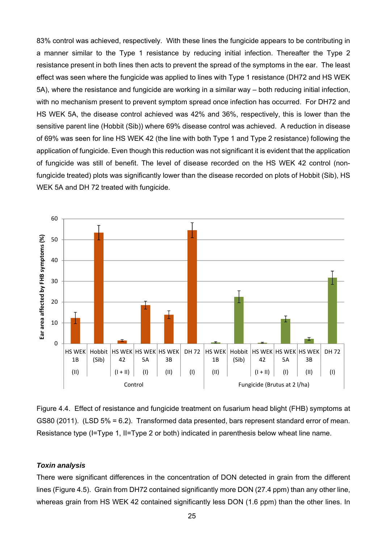83% control was achieved, respectively. With these lines the fungicide appears to be contributing in a manner similar to the Type 1 resistance by reducing initial infection. Thereafter the Type 2 resistance present in both lines then acts to prevent the spread of the symptoms in the ear. The least effect was seen where the fungicide was applied to lines with Type 1 resistance (DH72 and HS WEK 5A), where the resistance and fungicide are working in a similar way – both reducing initial infection, with no mechanism present to prevent symptom spread once infection has occurred. For DH72 and HS WEK 5A, the disease control achieved was 42% and 36%, respectively, this is lower than the sensitive parent line (Hobbit (Sib)) where 69% disease control was achieved. A reduction in disease of 69% was seen for line HS WEK 42 (the line with both Type 1 and Type 2 resistance) following the application of fungicide. Even though this reduction was not significant it is evident that the application of fungicide was still of benefit. The level of disease recorded on the HS WEK 42 control (nonfungicide treated) plots was significantly lower than the disease recorded on plots of Hobbit (Sib), HS WEK 5A and DH 72 treated with fungicide.



Figure 4.4. Effect of resistance and fungicide treatment on fusarium head blight (FHB) symptoms at GS80 (2011). (LSD 5% = 6.2). Transformed data presented, bars represent standard error of mean. Resistance type (I=Type 1, II=Type 2 or both) indicated in parenthesis below wheat line name.

#### *Toxin analysis*

There were significant differences in the concentration of DON detected in grain from the different lines (Figure 4.5). Grain from DH72 contained significantly more DON (27.4 ppm) than any other line, whereas grain from HS WEK 42 contained significantly less DON (1.6 ppm) than the other lines. In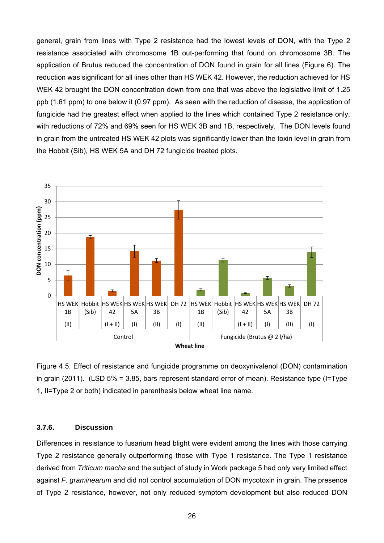general, grain from lines with Type 2 resistance had the lowest levels of DON, with the Type 2 resistance associated with chromosome 1B out-performing that found on chromosome 3B. The application of Brutus reduced the concentration of DON found in grain for all lines (Figure 6). The reduction was significant for all lines other than HS WEK 42. However, the reduction achieved for HS WEK 42 brought the DON concentration down from one that was above the legislative limit of 1.25 ppb (1.61 ppm) to one below it (0.97 ppm). As seen with the reduction of disease, the application of fungicide had the greatest effect when applied to the lines which contained Type 2 resistance only, with reductions of 72% and 69% seen for HS WEK 3B and 1B, respectively. The DON levels found in grain from the untreated HS WEK 42 plots was significantly lower than the toxin level in grain from the Hobbit (Sib), HS WEK 5A and DH 72 fungicide treated plots.



Figure 4.5. Effect of resistance and fungicide programme on deoxynivalenol (DON) contamination in grain (2011). (LSD 5% = 3.85, bars represent standard error of mean). Resistance type (I=Type 1, II=Type 2 or both) indicated in parenthesis below wheat line name.

#### **3.7.6. Discussion**

Differences in resistance to fusarium head blight were evident among the lines with those carrying Type 2 resistance generally outperforming those with Type 1 resistance. The Type 1 resistance derived from *Triticum macha* and the subject of study in Work package 5 had only very limited effect against *F. graminearum* and did not control accumulation of DON mycotoxin in grain. The presence of Type 2 resistance, however, not only reduced symptom development but also reduced DON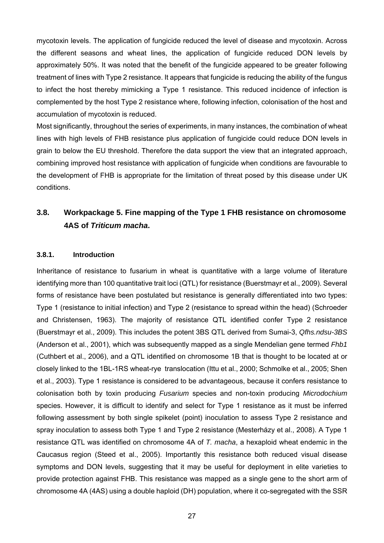mycotoxin levels. The application of fungicide reduced the level of disease and mycotoxin. Across the different seasons and wheat lines, the application of fungicide reduced DON levels by approximately 50%. It was noted that the benefit of the fungicide appeared to be greater following treatment of lines with Type 2 resistance. It appears that fungicide is reducing the ability of the fungus to infect the host thereby mimicking a Type 1 resistance. This reduced incidence of infection is complemented by the host Type 2 resistance where, following infection, colonisation of the host and accumulation of mycotoxin is reduced.

Most significantly, throughout the series of experiments, in many instances, the combination of wheat lines with high levels of FHB resistance plus application of fungicide could reduce DON levels in grain to below the EU threshold. Therefore the data support the view that an integrated approach, combining improved host resistance with application of fungicide when conditions are favourable to the development of FHB is appropriate for the limitation of threat posed by this disease under UK conditions.

## **3.8. Workpackage 5. Fine mapping of the Type 1 FHB resistance on chromosome 4AS of** *Triticum macha***.**

#### **3.8.1. Introduction**

Inheritance of resistance to fusarium in wheat is quantitative with a large volume of literature identifying more than 100 quantitative trait loci (QTL) for resistance (Buerstmayr et al., 2009). Several forms of resistance have been postulated but resistance is generally differentiated into two types: Type 1 (resistance to initial infection) and Type 2 (resistance to spread within the head) (Schroeder and Christensen, 1963). The majority of resistance QTL identified confer Type 2 resistance (Buerstmayr et al., 2009). This includes the potent 3BS QTL derived from Sumai-3, *Qfhs.ndsu-3BS* (Anderson et al., 2001), which was subsequently mapped as a single Mendelian gene termed *Fhb1* (Cuthbert et al., 2006), and a QTL identified on chromosome 1B that is thought to be located at or closely linked to the 1BL-1RS wheat-rye translocation (Ittu et al., 2000; Schmolke et al., 2005; Shen et al., 2003). Type 1 resistance is considered to be advantageous, because it confers resistance to colonisation both by toxin producing *Fusarium* species and non-toxin producing *Microdochium* species. However, it is difficult to identify and select for Type 1 resistance as it must be inferred following assessment by both single spikelet (point) inoculation to assess Type 2 resistance and spray inoculation to assess both Type 1 and Type 2 resistance (Mesterházy et al., 2008). A Type 1 resistance QTL was identified on chromosome 4A of *T. macha*, a hexaploid wheat endemic in the Caucasus region (Steed et al., 2005). Importantly this resistance both reduced visual disease symptoms and DON levels, suggesting that it may be useful for deployment in elite varieties to provide protection against FHB. This resistance was mapped as a single gene to the short arm of chromosome 4A (4AS) using a double haploid (DH) population, where it co-segregated with the SSR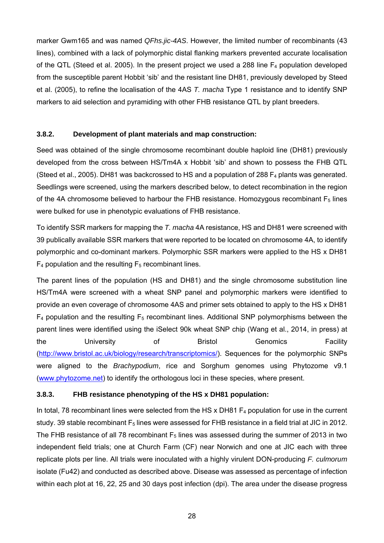marker Gwm165 and was named *QFhs.jic-4AS*. However, the limited number of recombinants (43 lines), combined with a lack of polymorphic distal flanking markers prevented accurate localisation of the QTL (Steed et al. 2005). In the present project we used a 288 line  $F_4$  population developed from the susceptible parent Hobbit 'sib' and the resistant line DH81, previously developed by Steed et al. (2005), to refine the localisation of the 4AS *T. macha* Type 1 resistance and to identify SNP markers to aid selection and pyramiding with other FHB resistance QTL by plant breeders.

#### **3.8.2. Development of plant materials and map construction:**

Seed was obtained of the single chromosome recombinant double haploid line (DH81) previously developed from the cross between HS/Tm4A x Hobbit 'sib' and shown to possess the FHB QTL (Steed et al., 2005). DH81 was backcrossed to HS and a population of 288 F4 plants was generated. Seedlings were screened, using the markers described below, to detect recombination in the region of the 4A chromosome believed to harbour the FHB resistance. Homozygous recombinant  $F_5$  lines were bulked for use in phenotypic evaluations of FHB resistance.

To identify SSR markers for mapping the *T. macha* 4A resistance, HS and DH81 were screened with 39 publically available SSR markers that were reported to be located on chromosome 4A, to identify polymorphic and co-dominant markers. Polymorphic SSR markers were applied to the HS x DH81  $F_4$  population and the resulting  $F_5$  recombinant lines.

The parent lines of the population (HS and DH81) and the single chromosome substitution line HS/Tm4A were screened with a wheat SNP panel and polymorphic markers were identified to provide an even coverage of chromosome 4AS and primer sets obtained to apply to the HS x DH81  $F_4$  population and the resulting  $F_5$  recombinant lines. Additional SNP polymorphisms between the parent lines were identified using the iSelect 90k wheat SNP chip (Wang et al., 2014, in press) at the Contractive University of Bristol Genomics Facility (http://www.bristol.ac.uk/biology/research/transcriptomics/). Sequences for the polymorphic SNPs were aligned to the *Brachypodium*, rice and Sorghum genomes using Phytozome v9.1 (www.phytozome.net) to identify the orthologous loci in these species, where present.

#### **3.8.3. FHB resistance phenotyping of the HS x DH81 population:**

In total, 78 recombinant lines were selected from the HS x DH81 F<sub>4</sub> population for use in the current study. 39 stable recombinant  $F_5$  lines were assessed for FHB resistance in a field trial at JIC in 2012. The FHB resistance of all 78 recombinant  $F_5$  lines was assessed during the summer of 2013 in two independent field trials; one at Church Farm (CF) near Norwich and one at JIC each with three replicate plots per line. All trials were inoculated with a highly virulent DON-producing *F. culmorum*  isolate (Fu42) and conducted as described above. Disease was assessed as percentage of infection within each plot at 16, 22, 25 and 30 days post infection (dpi). The area under the disease progress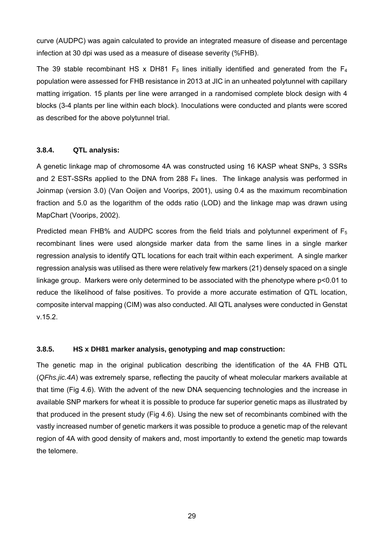curve (AUDPC) was again calculated to provide an integrated measure of disease and percentage infection at 30 dpi was used as a measure of disease severity (%FHB).

The 39 stable recombinant HS x DH81  $F_5$  lines initially identified and generated from the  $F_4$ population were assessed for FHB resistance in 2013 at JIC in an unheated polytunnel with capillary matting irrigation. 15 plants per line were arranged in a randomised complete block design with 4 blocks (3-4 plants per line within each block). Inoculations were conducted and plants were scored as described for the above polytunnel trial.

### **3.8.4. QTL analysis:**

A genetic linkage map of chromosome 4A was constructed using 16 KASP wheat SNPs, 3 SSRs and 2 EST-SSRs applied to the DNA from 288  $F_4$  lines. The linkage analysis was performed in Joinmap (version 3.0) (Van Ooijen and Voorips, 2001), using 0.4 as the maximum recombination fraction and 5.0 as the logarithm of the odds ratio (LOD) and the linkage map was drawn using MapChart (Voorips, 2002).

Predicted mean FHB% and AUDPC scores from the field trials and polytunnel experiment of  $F_5$ recombinant lines were used alongside marker data from the same lines in a single marker regression analysis to identify QTL locations for each trait within each experiment. A single marker regression analysis was utilised as there were relatively few markers (21) densely spaced on a single linkage group. Markers were only determined to be associated with the phenotype where p<0.01 to reduce the likelihood of false positives. To provide a more accurate estimation of QTL location, composite interval mapping (CIM) was also conducted. All QTL analyses were conducted in Genstat v.15.2.

### **3.8.5. HS x DH81 marker analysis, genotyping and map construction:**

The genetic map in the original publication describing the identification of the 4A FHB QTL (*QFhs.jic.4A*) was extremely sparse, reflecting the paucity of wheat molecular markers available at that time (Fig 4.6). With the advent of the new DNA sequencing technologies and the increase in available SNP markers for wheat it is possible to produce far superior genetic maps as illustrated by that produced in the present study (Fig 4.6). Using the new set of recombinants combined with the vastly increased number of genetic markers it was possible to produce a genetic map of the relevant region of 4A with good density of makers and, most importantly to extend the genetic map towards the telomere.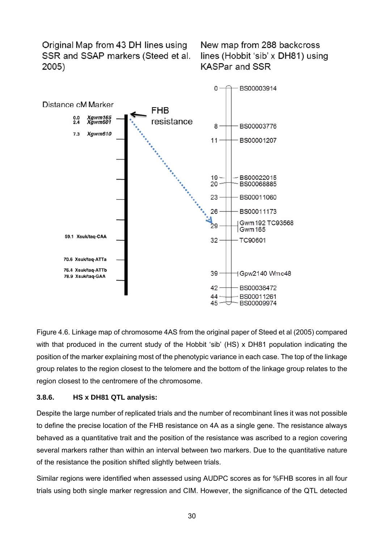Original Map from 43 DH lines using SSR and SSAP markers (Steed et al. 2005)

New map from 288 backcross lines (Hobbit 'sib' x DH81) using **KASPar and SSR** 



Figure 4.6. Linkage map of chromosome 4AS from the original paper of Steed et al (2005) compared with that produced in the current study of the Hobbit 'sib' (HS) x DH81 population indicating the position of the marker explaining most of the phenotypic variance in each case. The top of the linkage group relates to the region closest to the telomere and the bottom of the linkage group relates to the region closest to the centromere of the chromosome.

#### **3.8.6. HS x DH81 QTL analysis:**

Despite the large number of replicated trials and the number of recombinant lines it was not possible to define the precise location of the FHB resistance on 4A as a single gene. The resistance always behaved as a quantitative trait and the position of the resistance was ascribed to a region covering several markers rather than within an interval between two markers. Due to the quantitative nature of the resistance the position shifted slightly between trials.

Similar regions were identified when assessed using AUDPC scores as for %FHB scores in all four trials using both single marker regression and CIM. However, the significance of the QTL detected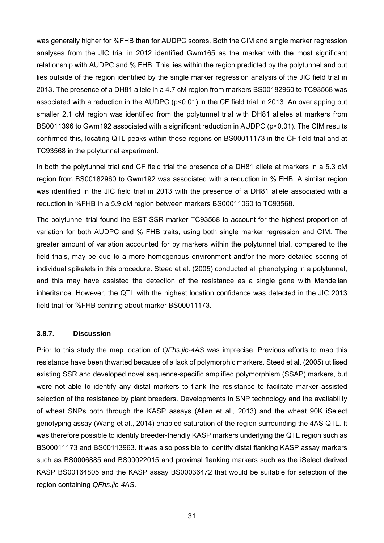was generally higher for %FHB than for AUDPC scores. Both the CIM and single marker regression analyses from the JIC trial in 2012 identified Gwm165 as the marker with the most significant relationship with AUDPC and % FHB. This lies within the region predicted by the polytunnel and but lies outside of the region identified by the single marker regression analysis of the JIC field trial in 2013. The presence of a DH81 allele in a 4.7 cM region from markers BS00182960 to TC93568 was associated with a reduction in the AUDPC (p<0.01) in the CF field trial in 2013. An overlapping but smaller 2.1 cM region was identified from the polytunnel trial with DH81 alleles at markers from BS0011396 to Gwm192 associated with a significant reduction in AUDPC (p<0.01). The CIM results confirmed this, locating QTL peaks within these regions on BS00011173 in the CF field trial and at TC93568 in the polytunnel experiment.

In both the polytunnel trial and CF field trial the presence of a DH81 allele at markers in a 5.3 cM region from BS00182960 to Gwm192 was associated with a reduction in % FHB. A similar region was identified in the JIC field trial in 2013 with the presence of a DH81 allele associated with a reduction in %FHB in a 5.9 cM region between markers BS00011060 to TC93568.

The polytunnel trial found the EST-SSR marker TC93568 to account for the highest proportion of variation for both AUDPC and % FHB traits, using both single marker regression and CIM. The greater amount of variation accounted for by markers within the polytunnel trial, compared to the field trials, may be due to a more homogenous environment and/or the more detailed scoring of individual spikelets in this procedure. Steed et al. (2005) conducted all phenotyping in a polytunnel, and this may have assisted the detection of the resistance as a single gene with Mendelian inheritance. However, the QTL with the highest location confidence was detected in the JIC 2013 field trial for %FHB centring about marker BS00011173.

#### **3.8.7. Discussion**

Prior to this study the map location of *QFhs.jic-4AS* was imprecise. Previous efforts to map this resistance have been thwarted because of a lack of polymorphic markers. Steed et al. (2005) utilised existing SSR and developed novel sequence-specific amplified polymorphism (SSAP) markers, but were not able to identify any distal markers to flank the resistance to facilitate marker assisted selection of the resistance by plant breeders. Developments in SNP technology and the availability of wheat SNPs both through the KASP assays (Allen et al., 2013) and the wheat 90K iSelect genotyping assay (Wang et al., 2014) enabled saturation of the region surrounding the 4AS QTL. It was therefore possible to identify breeder-friendly KASP markers underlying the QTL region such as BS00011173 and BS00113963. It was also possible to identify distal flanking KASP assay markers such as BS0006885 and BS00022015 and proximal flanking markers such as the iSelect derived KASP BS00164805 and the KASP assay BS00036472 that would be suitable for selection of the region containing *QFhs.jic-4AS*.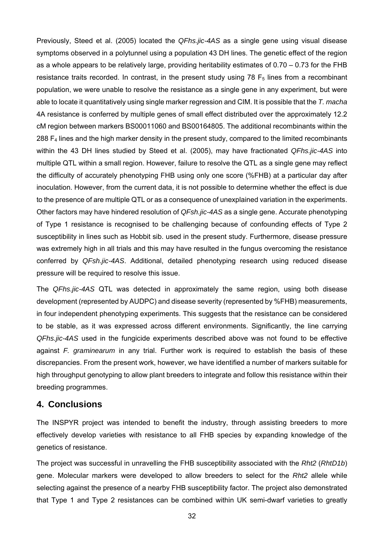Previously, Steed et al. (2005) located the *QFhs.jic-4AS* as a single gene using visual disease symptoms observed in a polytunnel using a population 43 DH lines. The genetic effect of the region as a whole appears to be relatively large, providing heritability estimates of 0.70 – 0.73 for the FHB resistance traits recorded. In contrast, in the present study using  $78 F<sub>5</sub>$  lines from a recombinant population, we were unable to resolve the resistance as a single gene in any experiment, but were able to locate it quantitatively using single marker regression and CIM. It is possible that the *T. macha*  4A resistance is conferred by multiple genes of small effect distributed over the approximately 12.2 cM region between markers BS00011060 and BS00164805. The additional recombinants within the 288 F4 lines and the high marker density in the present study, compared to the limited recombinants within the 43 DH lines studied by Steed et al. (2005), may have fractionated *QFhs.jic-4AS* into multiple QTL within a small region. However, failure to resolve the QTL as a single gene may reflect the difficulty of accurately phenotyping FHB using only one score (%FHB) at a particular day after inoculation. However, from the current data, it is not possible to determine whether the effect is due to the presence of are multiple QTL or as a consequence of unexplained variation in the experiments. Other factors may have hindered resolution of *QFsh.jic-4AS* as a single gene. Accurate phenotyping of Type 1 resistance is recognised to be challenging because of confounding effects of Type 2 susceptibility in lines such as Hobbit sib. used in the present study. Furthermore, disease pressure was extremely high in all trials and this may have resulted in the fungus overcoming the resistance conferred by *QFsh.jic-4AS*. Additional, detailed phenotyping research using reduced disease pressure will be required to resolve this issue.

The *QFhs.jic-4AS* QTL was detected in approximately the same region, using both disease development (represented by AUDPC) and disease severity (represented by %FHB) measurements, in four independent phenotyping experiments. This suggests that the resistance can be considered to be stable, as it was expressed across different environments. Significantly, the line carrying *QFhs.jic-4AS* used in the fungicide experiments described above was not found to be effective against *F. graminearum* in any trial. Further work is required to establish the basis of these discrepancies. From the present work, however, we have identified a number of markers suitable for high throughput genotyping to allow plant breeders to integrate and follow this resistance within their breeding programmes.

#### **4. Conclusions**

The INSPYR project was intended to benefit the industry, through assisting breeders to more effectively develop varieties with resistance to all FHB species by expanding knowledge of the genetics of resistance.

The project was successful in unravelling the FHB susceptibility associated with the *Rht2* (*RhtD1b*) gene. Molecular markers were developed to allow breeders to select for the *Rht2* allele while selecting against the presence of a nearby FHB susceptibility factor. The project also demonstrated that Type 1 and Type 2 resistances can be combined within UK semi-dwarf varieties to greatly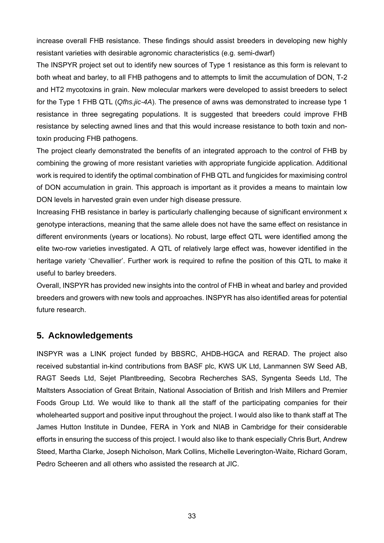increase overall FHB resistance. These findings should assist breeders in developing new highly resistant varieties with desirable agronomic characteristics (e.g. semi-dwarf)

The INSPYR project set out to identify new sources of Type 1 resistance as this form is relevant to both wheat and barley, to all FHB pathogens and to attempts to limit the accumulation of DON, T-2 and HT2 mycotoxins in grain. New molecular markers were developed to assist breeders to select for the Type 1 FHB QTL (*Qfhs.jic-4A*). The presence of awns was demonstrated to increase type 1 resistance in three segregating populations. It is suggested that breeders could improve FHB resistance by selecting awned lines and that this would increase resistance to both toxin and nontoxin producing FHB pathogens.

The project clearly demonstrated the benefits of an integrated approach to the control of FHB by combining the growing of more resistant varieties with appropriate fungicide application. Additional work is required to identify the optimal combination of FHB QTL and fungicides for maximising control of DON accumulation in grain. This approach is important as it provides a means to maintain low DON levels in harvested grain even under high disease pressure.

Increasing FHB resistance in barley is particularly challenging because of significant environment x genotype interactions, meaning that the same allele does not have the same effect on resistance in different environments (years or locations). No robust, large effect QTL were identified among the elite two-row varieties investigated. A QTL of relatively large effect was, however identified in the heritage variety 'Chevallier'. Further work is required to refine the position of this QTL to make it useful to barley breeders.

Overall, INSPYR has provided new insights into the control of FHB in wheat and barley and provided breeders and growers with new tools and approaches. INSPYR has also identified areas for potential future research.

## **5. Acknowledgements**

INSPYR was a LINK project funded by BBSRC, AHDB-HGCA and RERAD. The project also received substantial in-kind contributions from BASF plc, KWS UK Ltd, Lanmannen SW Seed AB, RAGT Seeds Ltd, Sejet Plantbreeding, Secobra Recherches SAS, Syngenta Seeds Ltd, The Maltsters Association of Great Britain, National Association of British and Irish Millers and Premier Foods Group Ltd. We would like to thank all the staff of the participating companies for their wholehearted support and positive input throughout the project. I would also like to thank staff at The James Hutton Institute in Dundee, FERA in York and NIAB in Cambridge for their considerable efforts in ensuring the success of this project. I would also like to thank especially Chris Burt, Andrew Steed, Martha Clarke, Joseph Nicholson, Mark Collins, Michelle Leverington-Waite, Richard Goram, Pedro Scheeren and all others who assisted the research at JIC.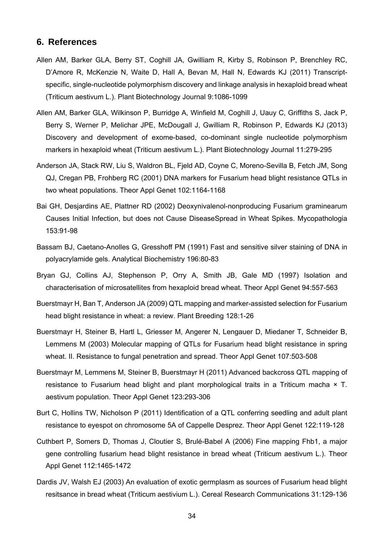### **6. References**

- Allen AM, Barker GLA, Berry ST, Coghill JA, Gwilliam R, Kirby S, Robinson P, Brenchley RC, D'Amore R, McKenzie N, Waite D, Hall A, Bevan M, Hall N, Edwards KJ (2011) Transcriptspecific, single-nucleotide polymorphism discovery and linkage analysis in hexaploid bread wheat (Triticum aestivum L.). Plant Biotechnology Journal 9:1086-1099
- Allen AM, Barker GLA, Wilkinson P, Burridge A, Winfield M, Coghill J, Uauy C, Griffiths S, Jack P, Berry S, Werner P, Melichar JPE, McDougall J, Gwilliam R, Robinson P, Edwards KJ (2013) Discovery and development of exome-based, co-dominant single nucleotide polymorphism markers in hexaploid wheat (Triticum aestivum L.). Plant Biotechnology Journal 11:279-295
- Anderson JA, Stack RW, Liu S, Waldron BL, Fjeld AD, Coyne C, Moreno-Sevilla B, Fetch JM, Song QJ, Cregan PB, Frohberg RC (2001) DNA markers for Fusarium head blight resistance QTLs in two wheat populations. Theor Appl Genet 102:1164-1168
- Bai GH, Desjardins AE, Plattner RD (2002) Deoxynivalenol-nonproducing Fusarium graminearum Causes Initial Infection, but does not Cause DiseaseSpread in Wheat Spikes. Mycopathologia 153:91-98
- Bassam BJ, Caetano-Anolles G, Gresshoff PM (1991) Fast and sensitive silver staining of DNA in polyacrylamide gels. Analytical Biochemistry 196:80-83
- Bryan GJ, Collins AJ, Stephenson P, Orry A, Smith JB, Gale MD (1997) Isolation and characterisation of microsatellites from hexaploid bread wheat. Theor Appl Genet 94:557-563
- Buerstmayr H, Ban T, Anderson JA (2009) QTL mapping and marker-assisted selection for Fusarium head blight resistance in wheat: a review. Plant Breeding 128:1-26
- Buerstmayr H, Steiner B, Hartl L, Griesser M, Angerer N, Lengauer D, Miedaner T, Schneider B, Lemmens M (2003) Molecular mapping of QTLs for Fusarium head blight resistance in spring wheat. II. Resistance to fungal penetration and spread. Theor Appl Genet 107:503-508
- Buerstmayr M, Lemmens M, Steiner B, Buerstmayr H (2011) Advanced backcross QTL mapping of resistance to Fusarium head blight and plant morphological traits in a Triticum macha × T. aestivum population. Theor Appl Genet 123:293-306
- Burt C, Hollins TW, Nicholson P (2011) Identification of a QTL conferring seedling and adult plant resistance to eyespot on chromosome 5A of Cappelle Desprez. Theor Appl Genet 122:119-128
- Cuthbert P, Somers D, Thomas J, Cloutier S, Brulé-Babel A (2006) Fine mapping Fhb1, a major gene controlling fusarium head blight resistance in bread wheat (Triticum aestivum L.). Theor Appl Genet 112:1465-1472
- Dardis JV, Walsh EJ (2003) An evaluation of exotic germplasm as sources of Fusarium head blight resitsance in bread wheat (Triticum aestivium L.). Cereal Research Communications 31:129-136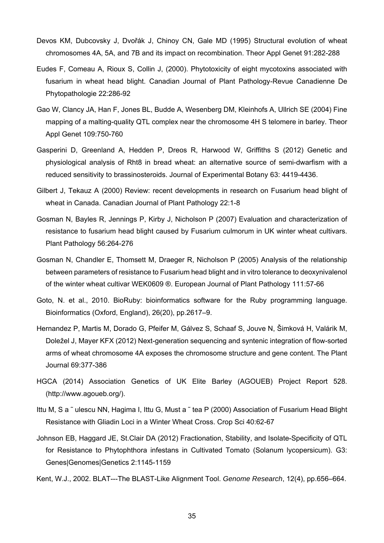- Devos KM, Dubcovsky J, Dvořák J, Chinoy CN, Gale MD (1995) Structural evolution of wheat chromosomes 4A, 5A, and 7B and its impact on recombination. Theor Appl Genet 91:282-288
- Eudes F, Comeau A, Rioux S, Collin J, (2000). Phytotoxicity of eight mycotoxins associated with fusarium in wheat head blight. Canadian Journal of Plant Pathology-Revue Canadienne De Phytopathologie 22:286-92
- Gao W, Clancy JA, Han F, Jones BL, Budde A, Wesenberg DM, Kleinhofs A, Ullrich SE (2004) Fine mapping of a malting-quality QTL complex near the chromosome 4H S telomere in barley. Theor Appl Genet 109:750-760
- Gasperini D, Greenland A, Hedden P, Dreos R, Harwood W, Griffiths S (2012) Genetic and physiological analysis of Rht8 in bread wheat: an alternative source of semi-dwarfism with a reduced sensitivity to brassinosteroids. Journal of Experimental Botany 63: 4419-4436.
- Gilbert J, Tekauz A (2000) Review: recent developments in research on Fusarium head blight of wheat in Canada. Canadian Journal of Plant Pathology 22:1-8
- Gosman N, Bayles R, Jennings P, Kirby J, Nicholson P (2007) Evaluation and characterization of resistance to fusarium head blight caused by Fusarium culmorum in UK winter wheat cultivars. Plant Pathology 56:264-276
- Gosman N, Chandler E, Thomsett M, Draeger R, Nicholson P (2005) Analysis of the relationship between parameters of resistance to Fusarium head blight and in vitro tolerance to deoxynivalenol of the winter wheat cultivar WEK0609 ®. European Journal of Plant Pathology 111:57-66
- Goto, N. et al., 2010. BioRuby: bioinformatics software for the Ruby programming language. Bioinformatics (Oxford, England), 26(20), pp.2617–9.
- Hernandez P, Martis M, Dorado G, Pfeifer M, Gálvez S, Schaaf S, Jouve N, Šimková H, Valárik M, Doležel J, Mayer KFX (2012) Next-generation sequencing and syntenic integration of flow-sorted arms of wheat chromosome 4A exposes the chromosome structure and gene content. The Plant Journal 69:377-386
- HGCA (2014) Association Genetics of UK Elite Barley (AGOUEB) Project Report 528. (http://www.agoueb.org/).
- Ittu M, S a ~ ulescu NN, Hagima I, Ittu G, Must a ~ tea P (2000) Association of Fusarium Head Blight Resistance with Gliadin Loci in a Winter Wheat Cross. Crop Sci 40:62-67
- Johnson EB, Haggard JE, St.Clair DA (2012) Fractionation, Stability, and Isolate-Specificity of QTL for Resistance to Phytophthora infestans in Cultivated Tomato (Solanum lycopersicum). G3: Genes|Genomes|Genetics 2:1145-1159
- Kent, W.J., 2002. BLAT---The BLAST-Like Alignment Tool. *Genome Research*, 12(4), pp.656–664.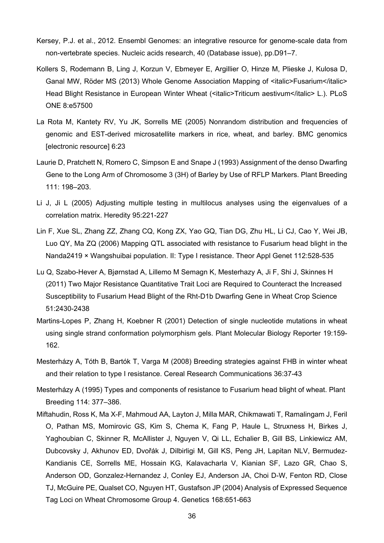- Kersey, P.J. et al., 2012. Ensembl Genomes: an integrative resource for genome-scale data from non-vertebrate species. Nucleic acids research, 40 (Database issue), pp.D91–7.
- Kollers S, Rodemann B, Ling J, Korzun V, Ebmeyer E, Argillier O, Hinze M, Plieske J, Kulosa D, Ganal MW, Röder MS (2013) Whole Genome Association Mapping of <italic>Fusarium</italic> Head Blight Resistance in European Winter Wheat (<italic>Triticum aestivum</italic> L.). PLoS ONE 8:e57500
- La Rota M, Kantety RV, Yu JK, Sorrells ME (2005) Nonrandom distribution and frequencies of genomic and EST-derived microsatellite markers in rice, wheat, and barley. BMC genomics [electronic resource] 6:23
- Laurie D, Pratchett N, Romero C, Simpson E and Snape J (1993) Assignment of the denso Dwarfing Gene to the Long Arm of Chromosome 3 (3H) of Barley by Use of RFLP Markers. Plant Breeding 111: 198–203.
- Li J, Ji L (2005) Adjusting multiple testing in multilocus analyses using the eigenvalues of a correlation matrix. Heredity 95:221-227
- Lin F, Xue SL, Zhang ZZ, Zhang CQ, Kong ZX, Yao GQ, Tian DG, Zhu HL, Li CJ, Cao Y, Wei JB, Luo QY, Ma ZQ (2006) Mapping QTL associated with resistance to Fusarium head blight in the Nanda2419 × Wangshuibai population. II: Type I resistance. Theor Appl Genet 112:528-535
- Lu Q, Szabo-Hever A, Bjørnstad A, Lillemo M Semagn K, Mesterhazy A, Ji F, Shi J, Skinnes H (2011) Two Major Resistance Quantitative Trait Loci are Required to Counteract the Increased Susceptibility to Fusarium Head Blight of the Rht-D1b Dwarfing Gene in Wheat Crop Science 51:2430-2438
- Martins-Lopes P, Zhang H, Koebner R (2001) Detection of single nucleotide mutations in wheat using single strand conformation polymorphism gels. Plant Molecular Biology Reporter 19:159- 162.
- Mesterházy A, Tóth B, Bartók T, Varga M (2008) Breeding strategies against FHB in winter wheat and their relation to type I resistance. Cereal Research Communications 36:37-43
- Mesterházy A (1995) Types and components of resistance to Fusarium head blight of wheat. Plant Breeding 114: 377–386.
- Miftahudin, Ross K, Ma X-F, Mahmoud AA, Layton J, Milla MAR, Chikmawati T, Ramalingam J, Feril O, Pathan MS, Momirovic GS, Kim S, Chema K, Fang P, Haule L, Struxness H, Birkes J, Yaghoubian C, Skinner R, McAllister J, Nguyen V, Qi LL, Echalier B, Gill BS, Linkiewicz AM, Dubcovsky J, Akhunov ED, Dvořák J, Dilbirligi M, Gill KS, Peng JH, Lapitan NLV, Bermudez-Kandianis CE, Sorrells ME, Hossain KG, Kalavacharla V, Kianian SF, Lazo GR, Chao S, Anderson OD, Gonzalez-Hernandez J, Conley EJ, Anderson JA, Choi D-W, Fenton RD, Close TJ, McGuire PE, Qualset CO, Nguyen HT, Gustafson JP (2004) Analysis of Expressed Sequence Tag Loci on Wheat Chromosome Group 4. Genetics 168:651-663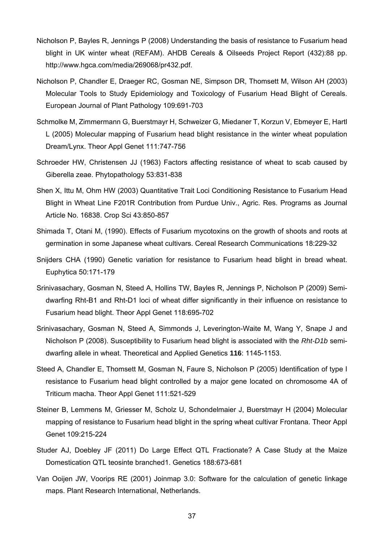- Nicholson P, Bayles R, Jennings P (2008) Understanding the basis of resistance to Fusarium head blight in UK winter wheat (REFAM). AHDB Cereals & Oilseeds Project Report (432):88 pp. http://www.hgca.com/media/269068/pr432.pdf.
- Nicholson P, Chandler E, Draeger RC, Gosman NE, Simpson DR, Thomsett M, Wilson AH (2003) Molecular Tools to Study Epidemiology and Toxicology of Fusarium Head Blight of Cereals. European Journal of Plant Pathology 109:691-703
- Schmolke M, Zimmermann G, Buerstmayr H, Schweizer G, Miedaner T, Korzun V, Ebmeyer E, Hartl L (2005) Molecular mapping of Fusarium head blight resistance in the winter wheat population Dream/Lynx. Theor Appl Genet 111:747-756
- Schroeder HW, Christensen JJ (1963) Factors affecting resistance of wheat to scab caused by Giberella zeae. Phytopathology 53:831-838
- Shen X, Ittu M, Ohm HW (2003) Quantitative Trait Loci Conditioning Resistance to Fusarium Head Blight in Wheat Line F201R Contribution from Purdue Univ., Agric. Res. Programs as Journal Article No. 16838. Crop Sci 43:850-857
- Shimada T, Otani M, (1990). Effects of Fusarium mycotoxins on the growth of shoots and roots at germination in some Japanese wheat cultivars. Cereal Research Communications 18:229-32
- Snijders CHA (1990) Genetic variation for resistance to Fusarium head blight in bread wheat. Euphytica 50:171-179
- Srinivasachary, Gosman N, Steed A, Hollins TW, Bayles R, Jennings P, Nicholson P (2009) Semidwarfing Rht-B1 and Rht-D1 loci of wheat differ significantly in their influence on resistance to Fusarium head blight. Theor Appl Genet 118:695-702
- Srinivasachary, Gosman N, Steed A, Simmonds J, Leverington-Waite M, Wang Y, Snape J and Nicholson P (2008). Susceptibility to Fusarium head blight is associated with the *Rht-D1b* semidwarfing allele in wheat. Theoretical and Applied Genetics **116**: 1145-1153.
- Steed A, Chandler E, Thomsett M, Gosman N, Faure S, Nicholson P (2005) Identification of type I resistance to Fusarium head blight controlled by a major gene located on chromosome 4A of Triticum macha. Theor Appl Genet 111:521-529
- Steiner B, Lemmens M, Griesser M, Scholz U, Schondelmaier J, Buerstmayr H (2004) Molecular mapping of resistance to Fusarium head blight in the spring wheat cultivar Frontana. Theor Appl Genet 109:215-224
- Studer AJ, Doebley JF (2011) Do Large Effect QTL Fractionate? A Case Study at the Maize Domestication QTL teosinte branched1. Genetics 188:673-681
- Van Ooijen JW, Voorips RE (2001) Joinmap 3.0: Software for the calculation of genetic linkage maps. Plant Research International, Netherlands.